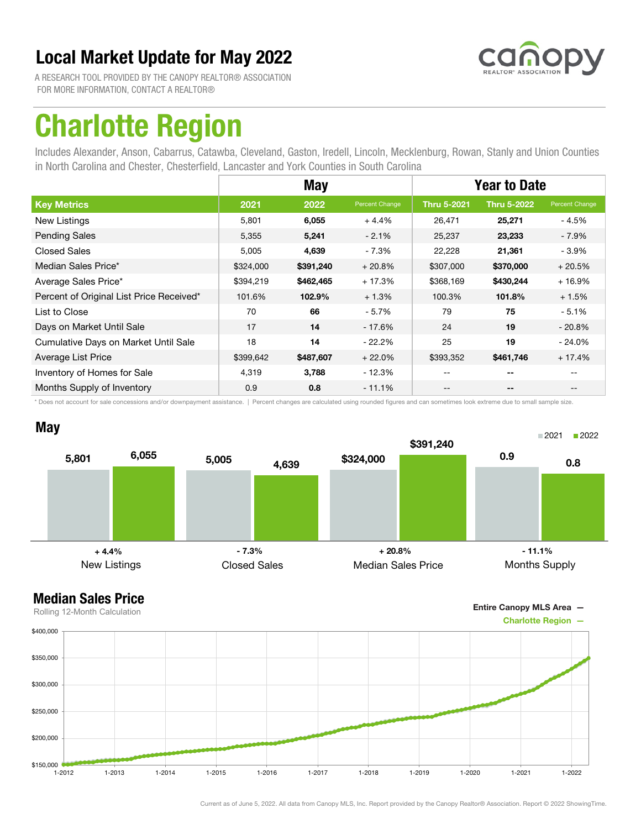

A RESEARCH TOOL PROVIDED BY THE CANOPY REALTOR® ASSOCIATION FOR MORE INFORMATION, CONTACT A REALTOR®

## Charlotte Region

Includes Alexander, Anson, Cabarrus, Catawba, Cleveland, Gaston, Iredell, Lincoln, Mecklenburg, Rowan, Stanly and Union Counties in North Carolina and Chester, Chesterfield, Lancaster and York Counties in South Carolina

|                                          |           | <b>May</b> |                | <b>Year to Date</b> |                          |                |
|------------------------------------------|-----------|------------|----------------|---------------------|--------------------------|----------------|
| <b>Key Metrics</b>                       | 2021      | 2022       | Percent Change | <b>Thru 5-2021</b>  | <b>Thru 5-2022</b>       | Percent Change |
| New Listings                             | 5,801     | 6,055      | $+4.4%$        | 26,471              | 25,271                   | - 4.5%         |
| <b>Pending Sales</b>                     | 5,355     | 5,241      | $-2.1%$        | 25,237              | 23,233                   | - 7.9%         |
| <b>Closed Sales</b>                      | 5,005     | 4,639      | $-7.3%$        | 22,228              | 21,361                   | - 3.9%         |
| Median Sales Price*                      | \$324,000 | \$391,240  | $+20.8%$       | \$307,000           | \$370,000                | $+20.5%$       |
| Average Sales Price*                     | \$394,219 | \$462,465  | $+17.3%$       | \$368,169           | \$430,244                | $+16.9%$       |
| Percent of Original List Price Received* | 101.6%    | 102.9%     | $+1.3%$        | 100.3%              | 101.8%                   | $+1.5%$        |
| List to Close                            | 70        | 66         | $-5.7%$        | 79                  | 75                       | $-5.1%$        |
| Days on Market Until Sale                | 17        | 14         | $-17.6%$       | 24                  | 19                       | $-20.8\%$      |
| Cumulative Days on Market Until Sale     | 18        | 14         | $-22.2%$       | 25                  | 19                       | $-24.0\%$      |
| Average List Price                       | \$399,642 | \$487,607  | $+22.0%$       | \$393,352           | \$461,746                | $+17.4%$       |
| Inventory of Homes for Sale              | 4,319     | 3,788      | $-12.3%$       | --                  | --                       |                |
| Months Supply of Inventory               | 0.9       | 0.8        | $-11.1%$       |                     | $\overline{\phantom{a}}$ |                |

\* Does not account for sale concessions and/or downpayment assistance. | Percent changes are calculated using rounded figures and can sometimes look extreme due to small sample size.





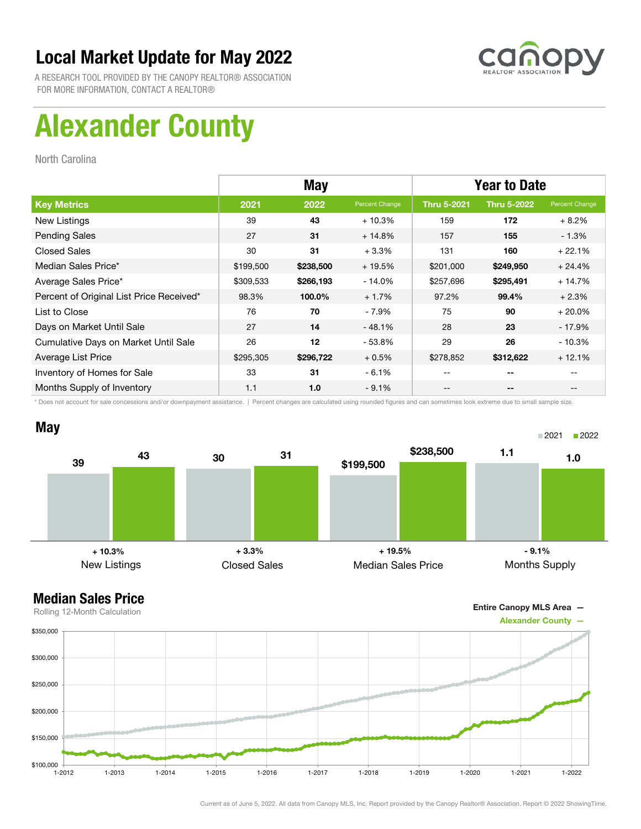

A RESEARCH TOOL PROVIDED BY THE CANOPY REALTOR® ASSOCIATION FOR MORE INFORMATION, CONTACT A REALTOR®

# Alexander County

North Carolina

|                                          | <b>May</b> |           |                | <b>Year to Date</b> |                    |                |
|------------------------------------------|------------|-----------|----------------|---------------------|--------------------|----------------|
| <b>Key Metrics</b>                       | 2021       | 2022      | Percent Change | <b>Thru 5-2021</b>  | <b>Thru 5-2022</b> | Percent Change |
| <b>New Listings</b>                      | 39         | 43        | $+10.3%$       | 159                 | 172                | $+8.2%$        |
| <b>Pending Sales</b>                     | 27         | 31        | $+14.8%$       | 157                 | 155                | $-1.3\%$       |
| <b>Closed Sales</b>                      | 30         | 31        | $+3.3%$        | 131                 | 160                | $+22.1%$       |
| Median Sales Price*                      | \$199,500  | \$238,500 | $+19.5%$       | \$201,000           | \$249,950          | $+24.4%$       |
| Average Sales Price*                     | \$309,533  | \$266,193 | - 14.0%        | \$257,696           | \$295,491          | $+14.7%$       |
| Percent of Original List Price Received* | 98.3%      | 100.0%    | $+1.7%$        | 97.2%               | 99.4%              | $+2.3%$        |
| List to Close                            | 76         | 70        | $-7.9%$        | 75                  | 90                 | $+20.0%$       |
| Days on Market Until Sale                | 27         | 14        | $-48.1%$       | 28                  | 23                 | $-17.9%$       |
| Cumulative Days on Market Until Sale     | 26         | 12        | $-53.8%$       | 29                  | 26                 | $-10.3%$       |
| Average List Price                       | \$295,305  | \$296,722 | $+0.5%$        | \$278,852           | \$312,622          | $+12.1%$       |
| Inventory of Homes for Sale              | 33         | 31        | $-6.1%$        | --                  | --                 |                |
| Months Supply of Inventory               | 1.1        | 1.0       | $-9.1%$        | --                  | --                 | $- -$          |

\* Does not account for sale concessions and/or downpayment assistance. | Percent changes are calculated using rounded figures and can sometimes look extreme due to small sample size.



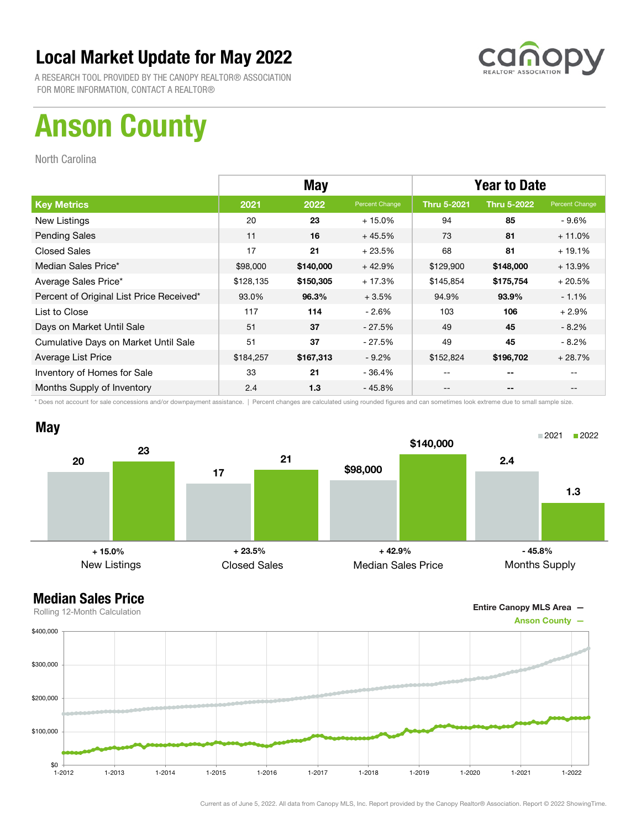

A RESEARCH TOOL PROVIDED BY THE CANOPY REALTOR® ASSOCIATION FOR MORE INFORMATION, CONTACT A REALTOR®

# Anson County

North Carolina

|                                          | <b>May</b> |           |                | <b>Year to Date</b> |                    |                |
|------------------------------------------|------------|-----------|----------------|---------------------|--------------------|----------------|
| <b>Key Metrics</b>                       | 2021       | 2022      | Percent Change | <b>Thru 5-2021</b>  | <b>Thru 5-2022</b> | Percent Change |
| New Listings                             | 20         | 23        | $+15.0%$       | 94                  | 85                 | - 9.6%         |
| <b>Pending Sales</b>                     | 11         | 16        | $+45.5%$       | 73                  | 81                 | $+11.0%$       |
| <b>Closed Sales</b>                      | 17         | 21        | $+23.5%$       | 68                  | 81                 | $+19.1%$       |
| Median Sales Price*                      | \$98,000   | \$140,000 | $+42.9%$       | \$129,900           | \$148,000          | $+13.9%$       |
| Average Sales Price*                     | \$128,135  | \$150,305 | $+17.3%$       | \$145,854           | \$175,754          | $+20.5%$       |
| Percent of Original List Price Received* | 93.0%      | 96.3%     | $+3.5%$        | 94.9%               | 93.9%              | $-1.1%$        |
| List to Close                            | 117        | 114       | $-2.6%$        | 103                 | 106                | $+2.9%$        |
| Days on Market Until Sale                | 51         | 37        | - 27.5%        | 49                  | 45                 | $-8.2\%$       |
| Cumulative Days on Market Until Sale     | 51         | 37        | $-27.5%$       | 49                  | 45                 | $-8.2\%$       |
| Average List Price                       | \$184,257  | \$167,313 | $-9.2%$        | \$152,824           | \$196,702          | $+28.7%$       |
| Inventory of Homes for Sale              | 33         | 21        | - 36.4%        | --                  | --                 |                |
| Months Supply of Inventory               | 2.4        | 1.3       | - 45.8%        | --                  | --                 |                |

\* Does not account for sale concessions and/or downpayment assistance. | Percent changes are calculated using rounded figures and can sometimes look extreme due to small sample size.



Entire Canopy MLS Area —

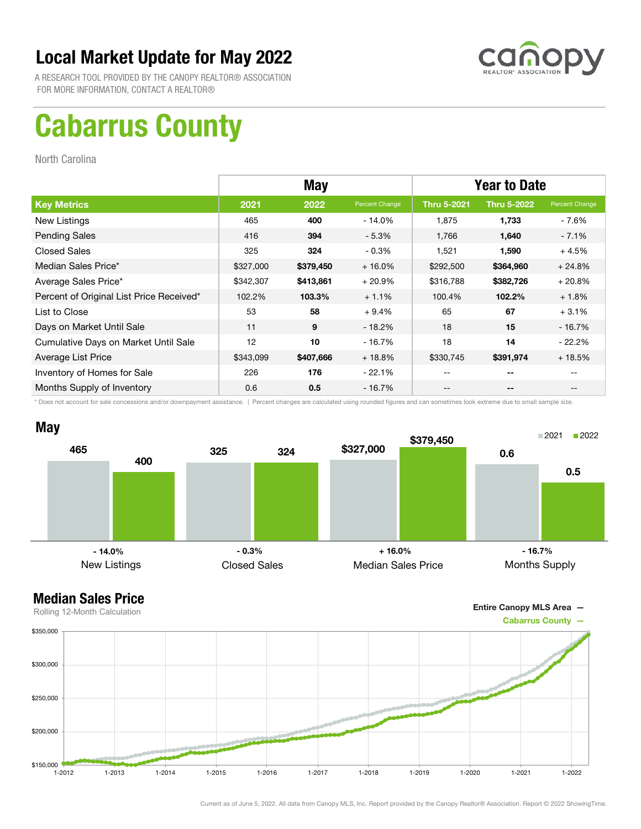

A RESEARCH TOOL PROVIDED BY THE CANOPY REALTOR® ASSOCIATION FOR MORE INFORMATION, CONTACT A REALTOR®

# Cabarrus County

North Carolina

|                                          | <b>May</b> |           |                | <b>Year to Date</b> |                    |                |
|------------------------------------------|------------|-----------|----------------|---------------------|--------------------|----------------|
| <b>Key Metrics</b>                       | 2021       | 2022      | Percent Change | <b>Thru 5-2021</b>  | <b>Thru 5-2022</b> | Percent Change |
| New Listings                             | 465        | 400       | $-14.0%$       | 1,875               | 1,733              | - 7.6%         |
| <b>Pending Sales</b>                     | 416        | 394       | $-5.3%$        | 1.766               | 1,640              | $-7.1\%$       |
| <b>Closed Sales</b>                      | 325        | 324       | $-0.3%$        | 1,521               | 1,590              | $+4.5%$        |
| Median Sales Price*                      | \$327,000  | \$379,450 | $+16.0%$       | \$292,500           | \$364,960          | $+24.8%$       |
| Average Sales Price*                     | \$342,307  | \$413,861 | $+20.9%$       | \$316,788           | \$382,726          | $+20.8%$       |
| Percent of Original List Price Received* | 102.2%     | 103.3%    | $+1.1%$        | 100.4%              | 102.2%             | $+1.8%$        |
| List to Close                            | 53         | 58        | $+9.4%$        | 65                  | 67                 | $+3.1%$        |
| Days on Market Until Sale                | 11         | 9         | $-18.2\%$      | 18                  | 15                 | - 16.7%        |
| Cumulative Days on Market Until Sale     | 12         | 10        | - 16.7%        | 18                  | 14                 | $-22.2\%$      |
| Average List Price                       | \$343,099  | \$407,666 | $+18.8%$       | \$330,745           | \$391,974          | $+18.5%$       |
| Inventory of Homes for Sale              | 226        | 176       | $-22.1%$       | --                  | --                 |                |
| Months Supply of Inventory               | 0.6        | 0.5       | - 16.7%        | --                  | --                 |                |

\* Does not account for sale concessions and/or downpayment assistance. | Percent changes are calculated using rounded figures and can sometimes look extreme due to small sample size.



Entire Canopy MLS Area —

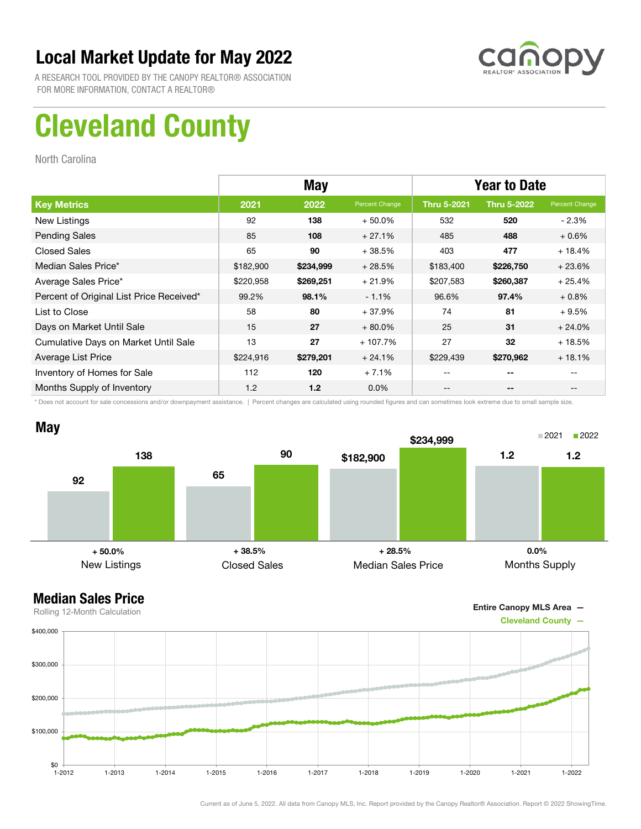

A RESEARCH TOOL PROVIDED BY THE CANOPY REALTOR® ASSOCIATION FOR MORE INFORMATION, CONTACT A REALTOR®

# Cleveland County

North Carolina

|                                          | <b>May</b> |           |                | <b>Year to Date</b> |                    |                |
|------------------------------------------|------------|-----------|----------------|---------------------|--------------------|----------------|
| <b>Key Metrics</b>                       | 2021       | 2022      | Percent Change | <b>Thru 5-2021</b>  | <b>Thru 5-2022</b> | Percent Change |
| New Listings                             | 92         | 138       | $+50.0\%$      | 532                 | 520                | $-2.3%$        |
| <b>Pending Sales</b>                     | 85         | 108       | $+27.1%$       | 485                 | 488                | $+0.6%$        |
| <b>Closed Sales</b>                      | 65         | 90        | $+38.5%$       | 403                 | 477                | $+18.4%$       |
| Median Sales Price*                      | \$182,900  | \$234,999 | $+28.5%$       | \$183,400           | \$226,750          | $+23.6%$       |
| Average Sales Price*                     | \$220,958  | \$269,251 | $+21.9%$       | \$207,583           | \$260,387          | $+25.4%$       |
| Percent of Original List Price Received* | 99.2%      | 98.1%     | $-1.1%$        | 96.6%               | 97.4%              | $+0.8%$        |
| List to Close                            | 58         | 80        | $+37.9%$       | 74                  | 81                 | $+9.5%$        |
| Days on Market Until Sale                | 15         | 27        | $+80.0\%$      | 25                  | 31                 | $+24.0%$       |
| Cumulative Days on Market Until Sale     | 13         | 27        | $+107.7%$      | 27                  | 32                 | $+18.5%$       |
| Average List Price                       | \$224,916  | \$279,201 | $+24.1%$       | \$229,439           | \$270,962          | $+18.1%$       |
| Inventory of Homes for Sale              | 112        | 120       | $+7.1%$        | --                  | --                 |                |
| Months Supply of Inventory               | 1.2        | 1.2       | $0.0\%$        | --                  | --                 |                |

\* Does not account for sale concessions and/or downpayment assistance. | Percent changes are calculated using rounded figures and can sometimes look extreme due to small sample size.



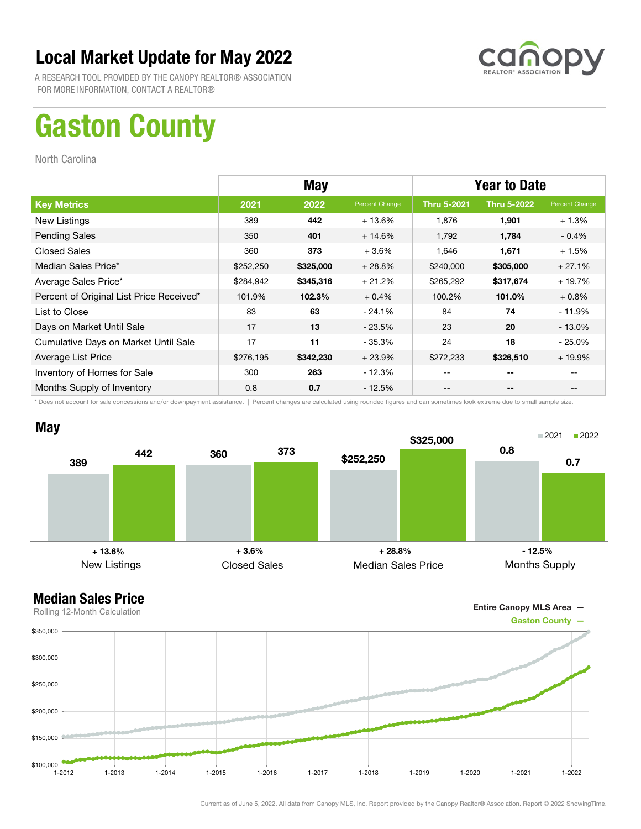

A RESEARCH TOOL PROVIDED BY THE CANOPY REALTOR® ASSOCIATION FOR MORE INFORMATION, CONTACT A REALTOR®

# Gaston County

North Carolina

|                                          |           | <b>May</b> |                | <b>Year to Date</b>                   |                          |                |
|------------------------------------------|-----------|------------|----------------|---------------------------------------|--------------------------|----------------|
| <b>Key Metrics</b>                       | 2021      | 2022       | Percent Change | <b>Thru 5-2021</b>                    | <b>Thru 5-2022</b>       | Percent Change |
| New Listings                             | 389       | 442        | $+13.6%$       | 1,876                                 | 1,901                    | $+1.3%$        |
| <b>Pending Sales</b>                     | 350       | 401        | $+14.6%$       | 1.792                                 | 1,784                    | $-0.4%$        |
| <b>Closed Sales</b>                      | 360       | 373        | $+3.6%$        | 1,646                                 | 1,671                    | $+1.5%$        |
| Median Sales Price*                      | \$252,250 | \$325,000  | $+28.8%$       | \$240,000                             | \$305,000                | $+27.1%$       |
| Average Sales Price*                     | \$284,942 | \$345,316  | $+21.2%$       | \$265,292                             | \$317,674                | $+19.7%$       |
| Percent of Original List Price Received* | 101.9%    | 102.3%     | $+0.4%$        | 100.2%                                | 101.0%                   | $+0.8\%$       |
| List to Close                            | 83        | 63         | $-24.1%$       | 84                                    | 74                       | - 11.9%        |
| Days on Market Until Sale                | 17        | 13         | $-23.5%$       | 23                                    | 20                       | $-13.0%$       |
| Cumulative Days on Market Until Sale     | 17        | 11         | $-35.3%$       | 24                                    | 18                       | $-25.0\%$      |
| Average List Price                       | \$276,195 | \$342,230  | $+23.9%$       | \$272,233                             | \$326,510                | $+19.9%$       |
| Inventory of Homes for Sale              | 300       | 263        | $-12.3%$       | $- -$                                 | $- -$                    | --             |
| Months Supply of Inventory               | 0.8       | 0.7        | $-12.5%$       | $\hspace{0.05cm}$ – $\hspace{0.05cm}$ | $\overline{\phantom{a}}$ | --             |

\* Does not account for sale concessions and/or downpayment assistance. | Percent changes are calculated using rounded figures and can sometimes look extreme due to small sample size.



Entire Canopy MLS Area —

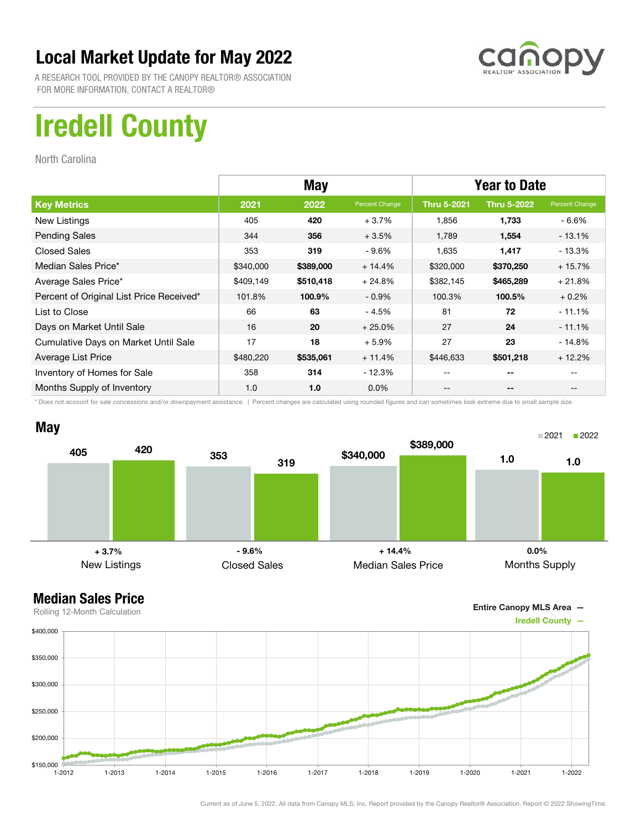

A RESEARCH TOOL PROVIDED BY THE CANOPY REALTOR® ASSOCIATION FOR MORE INFORMATION, CONTACT A REALTOR®

# Iredell County

North Carolina

|                                          | <b>May</b> |           |                | <b>Year to Date</b> |                    |                |
|------------------------------------------|------------|-----------|----------------|---------------------|--------------------|----------------|
| <b>Key Metrics</b>                       | 2021       | 2022      | Percent Change | <b>Thru 5-2021</b>  | <b>Thru 5-2022</b> | Percent Change |
| New Listings                             | 405        | 420       | $+3.7%$        | 1,856               | 1,733              | - 6.6%         |
| <b>Pending Sales</b>                     | 344        | 356       | $+3.5%$        | 1.789               | 1,554              | $-13.1%$       |
| <b>Closed Sales</b>                      | 353        | 319       | $-9.6\%$       | 1,635               | 1,417              | $-13.3%$       |
| Median Sales Price*                      | \$340,000  | \$389,000 | $+14.4%$       | \$320,000           | \$370,250          | $+15.7%$       |
| Average Sales Price*                     | \$409,149  | \$510,418 | $+24.8%$       | \$382,145           | \$465,289          | $+21.8%$       |
| Percent of Original List Price Received* | 101.8%     | 100.9%    | $-0.9\%$       | 100.3%              | 100.5%             | $+0.2%$        |
| List to Close                            | 66         | 63        | $-4.5%$        | 81                  | 72                 | $-11.1%$       |
| Days on Market Until Sale                | 16         | 20        | $+25.0%$       | 27                  | 24                 | $-11.1\%$      |
| Cumulative Days on Market Until Sale     | 17         | 18        | $+5.9%$        | 27                  | 23                 | $-14.8%$       |
| Average List Price                       | \$480,220  | \$535,061 | $+11.4%$       | \$446,633           | \$501,218          | $+12.2%$       |
| Inventory of Homes for Sale              | 358        | 314       | - 12.3%        | --                  | --                 |                |
| Months Supply of Inventory               | 1.0        | 1.0       | $0.0\%$        | --                  | --                 |                |

\* Does not account for sale concessions and/or downpayment assistance. | Percent changes are calculated using rounded figures and can sometimes look extreme due to small sample size.



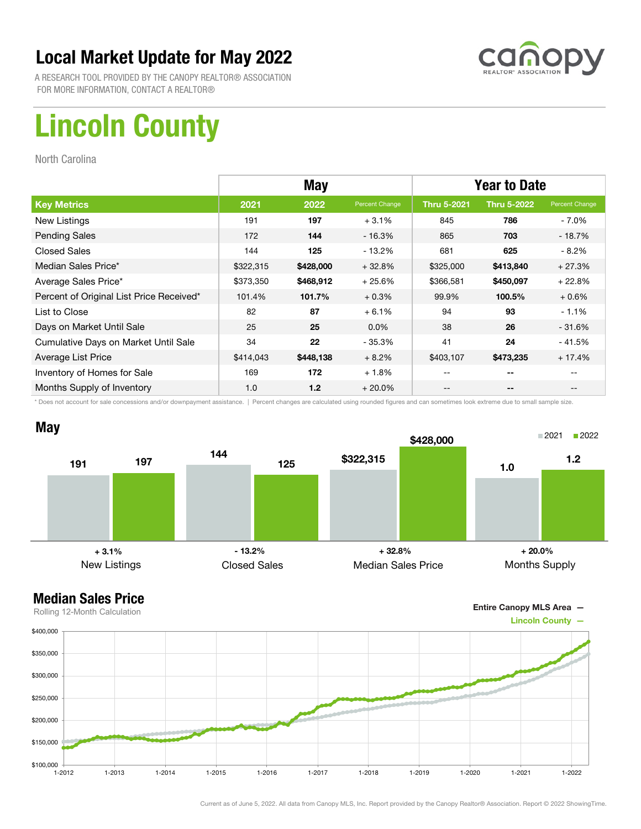

A RESEARCH TOOL PROVIDED BY THE CANOPY REALTOR® ASSOCIATION FOR MORE INFORMATION, CONTACT A REALTOR®

# Lincoln County

North Carolina

|                                          |           | <b>May</b> |                | <b>Year to Date</b> |                    |                |
|------------------------------------------|-----------|------------|----------------|---------------------|--------------------|----------------|
| <b>Key Metrics</b>                       | 2021      | 2022       | Percent Change | <b>Thru 5-2021</b>  | <b>Thru 5-2022</b> | Percent Change |
| New Listings                             | 191       | 197        | $+3.1%$        | 845                 | 786                | - 7.0%         |
| <b>Pending Sales</b>                     | 172       | 144        | $-16.3%$       | 865                 | 703                | $-18.7%$       |
| <b>Closed Sales</b>                      | 144       | 125        | $-13.2%$       | 681                 | 625                | $-8.2%$        |
| Median Sales Price*                      | \$322,315 | \$428,000  | $+32.8%$       | \$325,000           | \$413,840          | $+27.3%$       |
| Average Sales Price*                     | \$373,350 | \$468,912  | $+25.6%$       | \$366,581           | \$450,097          | $+22.8%$       |
| Percent of Original List Price Received* | 101.4%    | 101.7%     | $+0.3%$        | 99.9%               | 100.5%             | $+0.6%$        |
| List to Close                            | 82        | 87         | $+6.1%$        | 94                  | 93                 | $-1.1%$        |
| Days on Market Until Sale                | 25        | 25         | $0.0\%$        | 38                  | 26                 | $-31.6%$       |
| Cumulative Days on Market Until Sale     | 34        | 22         | - 35.3%        | 41                  | 24                 | $-41.5%$       |
| Average List Price                       | \$414,043 | \$448,138  | $+8.2%$        | \$403,107           | \$473,235          | $+17.4%$       |
| Inventory of Homes for Sale              | 169       | 172        | $+1.8%$        | --                  | --                 |                |
| Months Supply of Inventory               | 1.0       | 1.2        | $+20.0%$       | --                  | --                 |                |

\* Does not account for sale concessions and/or downpayment assistance. | Percent changes are calculated using rounded figures and can sometimes look extreme due to small sample size.



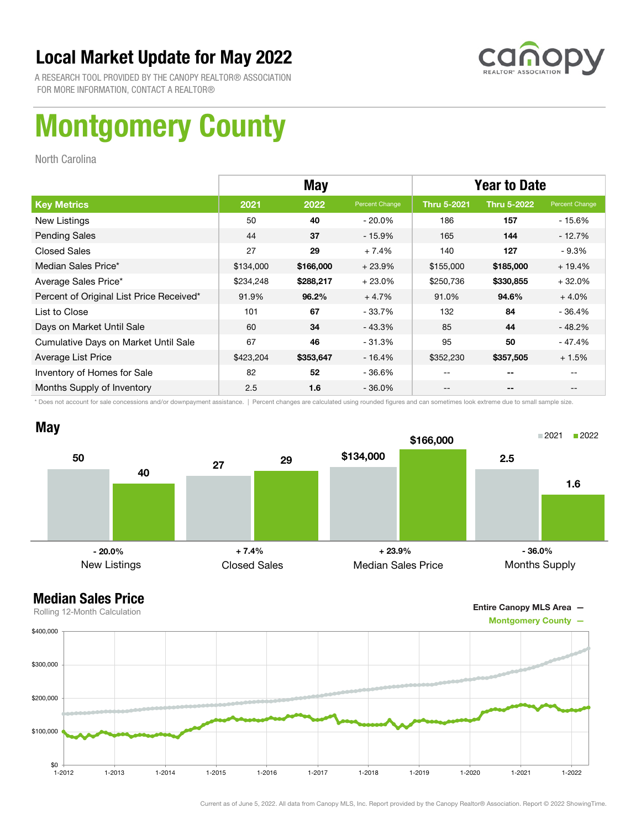

A RESEARCH TOOL PROVIDED BY THE CANOPY REALTOR® ASSOCIATION FOR MORE INFORMATION, CONTACT A REALTOR®

# Montgomery County

North Carolina

|                                          |           | <b>May</b> |                | <b>Year to Date</b> |                    |                |
|------------------------------------------|-----------|------------|----------------|---------------------|--------------------|----------------|
| <b>Key Metrics</b>                       | 2021      | 2022       | Percent Change | <b>Thru 5-2021</b>  | <b>Thru 5-2022</b> | Percent Change |
| New Listings                             | 50        | 40         | $-20.0\%$      | 186                 | 157                | - 15.6%        |
| <b>Pending Sales</b>                     | 44        | 37         | $-15.9%$       | 165                 | 144                | $-12.7%$       |
| <b>Closed Sales</b>                      | 27        | 29         | $+7.4%$        | 140                 | 127                | $-9.3%$        |
| Median Sales Price*                      | \$134,000 | \$166,000  | $+23.9%$       | \$155,000           | \$185,000          | $+19.4%$       |
| Average Sales Price*                     | \$234,248 | \$288,217  | $+23.0%$       | \$250,736           | \$330,855          | $+32.0%$       |
| Percent of Original List Price Received* | 91.9%     | 96.2%      | $+4.7%$        | 91.0%               | 94.6%              | $+4.0%$        |
| List to Close                            | 101       | 67         | $-33.7%$       | 132                 | 84                 | - 36.4%        |
| Days on Market Until Sale                | 60        | 34         | $-43.3%$       | 85                  | 44                 | $-48.2%$       |
| Cumulative Days on Market Until Sale     | 67        | 46         | $-31.3%$       | 95                  | 50                 | - 47.4%        |
| Average List Price                       | \$423,204 | \$353,647  | $-16.4%$       | \$352,230           | \$357,505          | $+1.5%$        |
| Inventory of Homes for Sale              | 82        | 52         | $-36.6%$       |                     | --                 |                |
| Months Supply of Inventory               | 2.5       | 1.6        | $-36.0%$       |                     | --                 |                |

\* Does not account for sale concessions and/or downpayment assistance. | Percent changes are calculated using rounded figures and can sometimes look extreme due to small sample size.



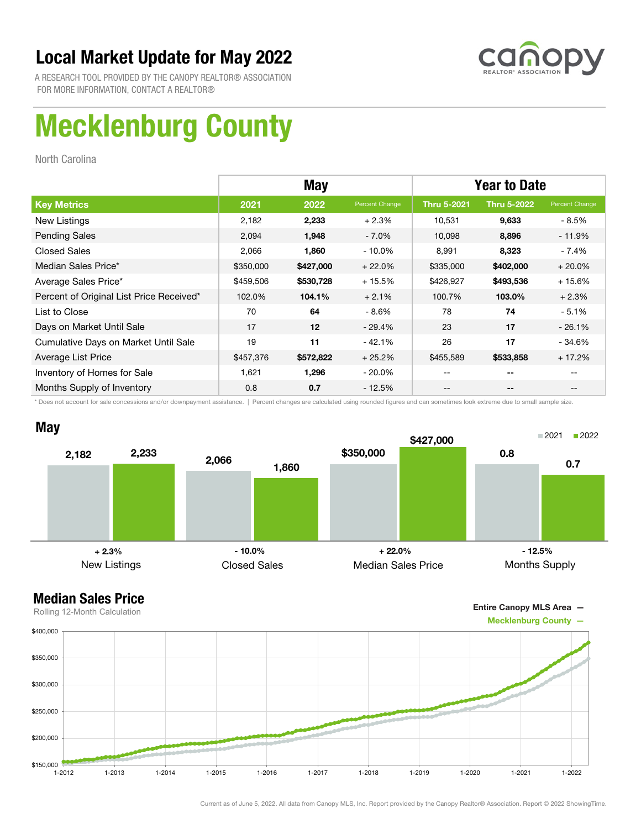

A RESEARCH TOOL PROVIDED BY THE CANOPY REALTOR® ASSOCIATION FOR MORE INFORMATION, CONTACT A REALTOR®

# Mecklenburg County

North Carolina

|                                          |           | May       |                | <b>Year to Date</b> |                    |                |  |
|------------------------------------------|-----------|-----------|----------------|---------------------|--------------------|----------------|--|
| <b>Key Metrics</b>                       | 2021      | 2022      | Percent Change | <b>Thru 5-2021</b>  | <b>Thru 5-2022</b> | Percent Change |  |
| New Listings                             | 2,182     | 2,233     | $+2.3%$        | 10,531              | 9,633              | - 8.5%         |  |
| <b>Pending Sales</b>                     | 2,094     | 1,948     | $-7.0\%$       | 10,098              | 8,896              | $-11.9\%$      |  |
| <b>Closed Sales</b>                      | 2,066     | 1,860     | $-10.0\%$      | 8,991               | 8,323              | - 7.4%         |  |
| Median Sales Price*                      | \$350,000 | \$427,000 | $+22.0%$       | \$335,000           | \$402,000          | $+20.0%$       |  |
| Average Sales Price*                     | \$459,506 | \$530,728 | $+15.5%$       | \$426,927           | \$493,536          | $+15.6%$       |  |
| Percent of Original List Price Received* | 102.0%    | 104.1%    | $+2.1%$        | 100.7%              | 103.0%             | $+2.3%$        |  |
| List to Close                            | 70        | 64        | $-8.6%$        | 78                  | 74                 | $-5.1%$        |  |
| Days on Market Until Sale                | 17        | 12        | $-29.4\%$      | 23                  | 17                 | $-26.1%$       |  |
| Cumulative Days on Market Until Sale     | 19        | 11        | $-42.1%$       | 26                  | 17                 | - 34.6%        |  |
| Average List Price                       | \$457,376 | \$572,822 | $+25.2%$       | \$455,589           | \$533,858          | $+17.2%$       |  |
| Inventory of Homes for Sale              | 1,621     | 1,296     | $-20.0\%$      | --                  | --                 | $-$            |  |
| Months Supply of Inventory               | 0.8       | 0.7       | $-12.5%$       | --                  | --                 |                |  |

\* Does not account for sale concessions and/or downpayment assistance. | Percent changes are calculated using rounded figures and can sometimes look extreme due to small sample size.



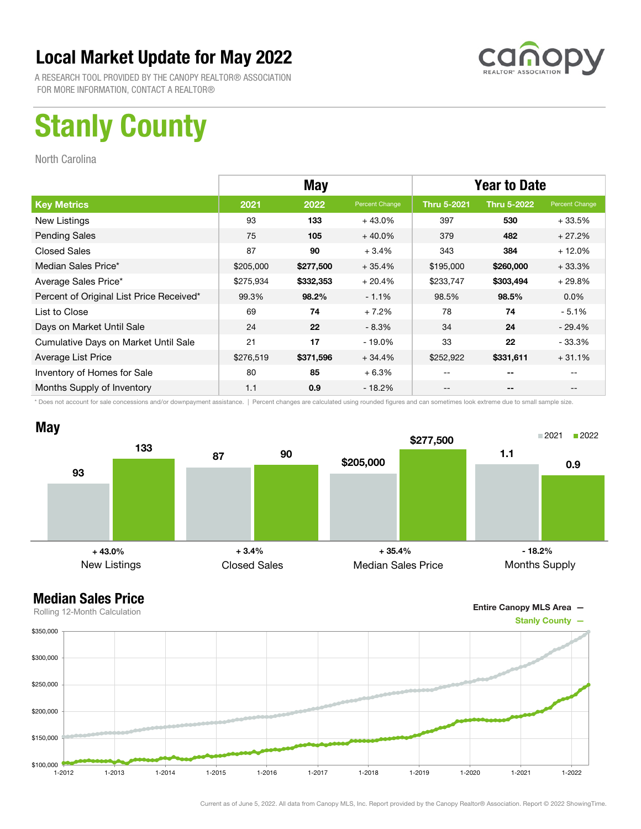

A RESEARCH TOOL PROVIDED BY THE CANOPY REALTOR® ASSOCIATION FOR MORE INFORMATION, CONTACT A REALTOR®

# Stanly County

North Carolina

|                                          | <b>May</b> |           |                | <b>Year to Date</b> |                    |                |
|------------------------------------------|------------|-----------|----------------|---------------------|--------------------|----------------|
| <b>Key Metrics</b>                       | 2021       | 2022      | Percent Change | <b>Thru 5-2021</b>  | <b>Thru 5-2022</b> | Percent Change |
| New Listings                             | 93         | 133       | $+43.0%$       | 397                 | 530                | $+33.5%$       |
| <b>Pending Sales</b>                     | 75         | 105       | $+40.0\%$      | 379                 | 482                | $+27.2%$       |
| <b>Closed Sales</b>                      | 87         | 90        | $+3.4%$        | 343                 | 384                | $+12.0%$       |
| Median Sales Price*                      | \$205,000  | \$277,500 | $+35.4%$       | \$195,000           | \$260,000          | $+33.3%$       |
| Average Sales Price*                     | \$275,934  | \$332,353 | $+20.4%$       | \$233,747           | \$303,494          | $+29.8%$       |
| Percent of Original List Price Received* | 99.3%      | 98.2%     | $-1.1%$        | 98.5%               | 98.5%              | $0.0\%$        |
| List to Close                            | 69         | 74        | $+7.2%$        | 78                  | 74                 | $-5.1%$        |
| Days on Market Until Sale                | 24         | 22        | $-8.3%$        | 34                  | 24                 | - 29.4%        |
| Cumulative Days on Market Until Sale     | 21         | 17        | $-19.0%$       | 33                  | 22                 | - 33.3%        |
| Average List Price                       | \$276,519  | \$371,596 | $+34.4%$       | \$252,922           | \$331,611          | $+31.1%$       |
| Inventory of Homes for Sale              | 80         | 85        | $+6.3%$        |                     | --                 |                |
| Months Supply of Inventory               | 1.1        | 0.9       | - 18.2%        |                     | --                 |                |

\* Does not account for sale concessions and/or downpayment assistance. | Percent changes are calculated using rounded figures and can sometimes look extreme due to small sample size.



Entire Canopy MLS Area —

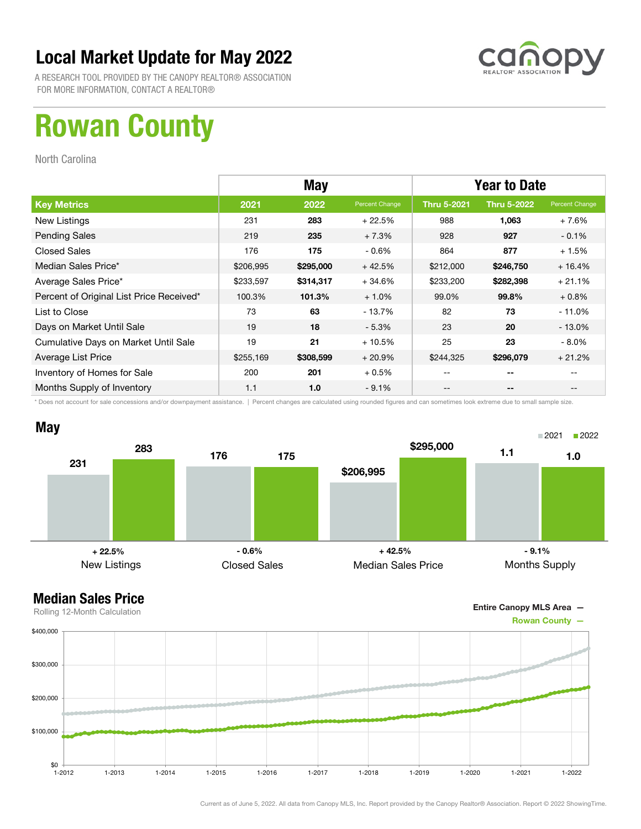

A RESEARCH TOOL PROVIDED BY THE CANOPY REALTOR® ASSOCIATION FOR MORE INFORMATION, CONTACT A REALTOR®

## Rowan County

North Carolina

|                                          | <b>May</b> |           |                | <b>Year to Date</b> |                    |                |
|------------------------------------------|------------|-----------|----------------|---------------------|--------------------|----------------|
| <b>Key Metrics</b>                       | 2021       | 2022      | Percent Change | <b>Thru 5-2021</b>  | <b>Thru 5-2022</b> | Percent Change |
| New Listings                             | 231        | 283       | $+22.5%$       | 988                 | 1,063              | $+7.6%$        |
| <b>Pending Sales</b>                     | 219        | 235       | $+7.3%$        | 928                 | 927                | $-0.1\%$       |
| <b>Closed Sales</b>                      | 176        | 175       | $-0.6\%$       | 864                 | 877                | $+1.5%$        |
| Median Sales Price*                      | \$206,995  | \$295,000 | $+42.5%$       | \$212,000           | \$246,750          | $+16.4%$       |
| Average Sales Price*                     | \$233,597  | \$314,317 | $+34.6%$       | \$233,200           | \$282,398          | $+21.1%$       |
| Percent of Original List Price Received* | 100.3%     | 101.3%    | $+1.0%$        | 99.0%               | 99.8%              | $+0.8%$        |
| List to Close                            | 73         | 63        | $-13.7%$       | 82                  | 73                 | $-11.0\%$      |
| Days on Market Until Sale                | 19         | 18        | $-5.3%$        | 23                  | 20                 | - 13.0%        |
| Cumulative Days on Market Until Sale     | 19         | 21        | $+10.5%$       | 25                  | 23                 | $-8.0\%$       |
| Average List Price                       | \$255,169  | \$308,599 | $+20.9%$       | \$244,325           | \$296,079          | $+21.2%$       |
| Inventory of Homes for Sale              | 200        | 201       | $+0.5%$        |                     | --                 |                |
| Months Supply of Inventory               | 1.1        | 1.0       | $-9.1%$        |                     | --                 |                |

\* Does not account for sale concessions and/or downpayment assistance. | Percent changes are calculated using rounded figures and can sometimes look extreme due to small sample size.





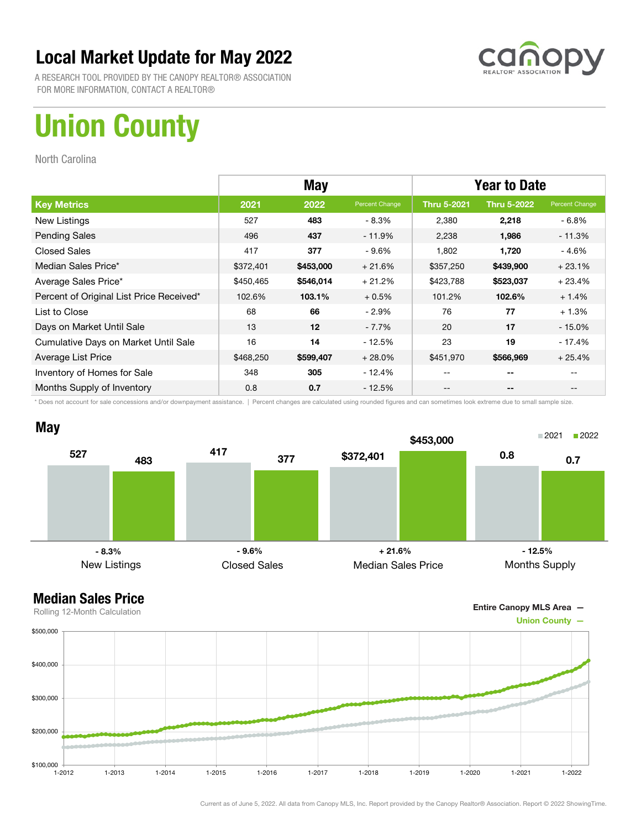

A RESEARCH TOOL PROVIDED BY THE CANOPY REALTOR® ASSOCIATION FOR MORE INFORMATION, CONTACT A REALTOR®

# Union County

North Carolina

|                                          | <b>May</b> |           |                | <b>Year to Date</b> |                    |                |
|------------------------------------------|------------|-----------|----------------|---------------------|--------------------|----------------|
| <b>Key Metrics</b>                       | 2021       | 2022      | Percent Change | <b>Thru 5-2021</b>  | <b>Thru 5-2022</b> | Percent Change |
| New Listings                             | 527        | 483       | - 8.3%         | 2,380               | 2,218              | - 6.8%         |
| <b>Pending Sales</b>                     | 496        | 437       | $-11.9\%$      | 2,238               | 1,986              | $-11.3%$       |
| <b>Closed Sales</b>                      | 417        | 377       | $-9.6\%$       | 1,802               | 1,720              | - 4.6%         |
| Median Sales Price*                      | \$372,401  | \$453,000 | $+21.6%$       | \$357,250           | \$439,900          | $+23.1%$       |
| Average Sales Price*                     | \$450,465  | \$546,014 | $+21.2%$       | \$423,788           | \$523,037          | $+23.4%$       |
| Percent of Original List Price Received* | 102.6%     | 103.1%    | $+0.5%$        | 101.2%              | 102.6%             | $+1.4%$        |
| List to Close                            | 68         | 66        | $-2.9\%$       | 76                  | 77                 | $+1.3%$        |
| Days on Market Until Sale                | 13         | 12        | $-7.7\%$       | 20                  | 17                 | $-15.0%$       |
| Cumulative Days on Market Until Sale     | 16         | 14        | $-12.5%$       | 23                  | 19                 | $-17.4%$       |
| Average List Price                       | \$468,250  | \$599,407 | $+28.0%$       | \$451,970           | \$566,969          | $+25.4%$       |
| Inventory of Homes for Sale              | 348        | 305       | $-12.4%$       | --                  | --                 |                |
| Months Supply of Inventory               | 0.8        | 0.7       | $-12.5%$       | --                  | --                 | $- -$          |

\* Does not account for sale concessions and/or downpayment assistance. | Percent changes are calculated using rounded figures and can sometimes look extreme due to small sample size.



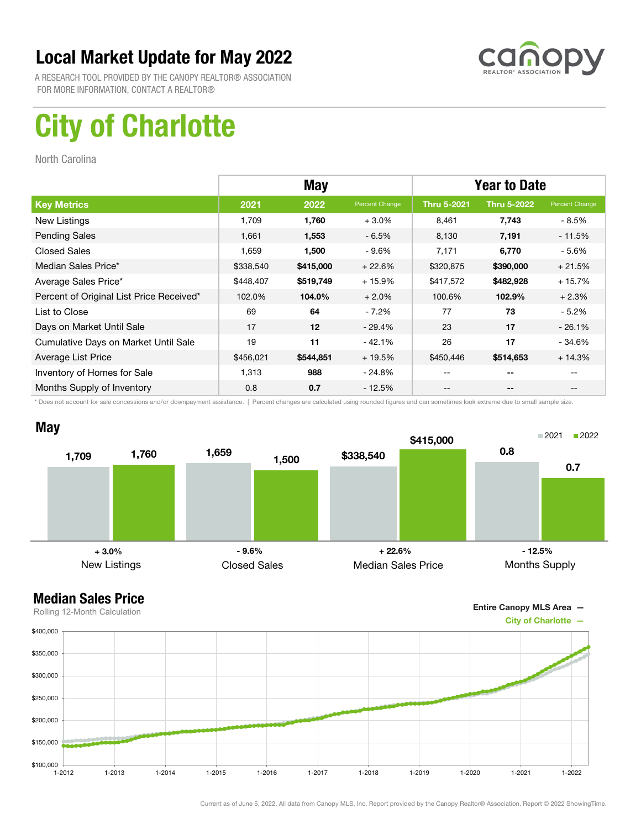

A RESEARCH TOOL PROVIDED BY THE CANOPY REALTOR® ASSOCIATION FOR MORE INFORMATION, CONTACT A REALTOR®

# City of Charlotte

North Carolina

|                                          | <b>May</b> |           |                | <b>Year to Date</b> |                    |                |
|------------------------------------------|------------|-----------|----------------|---------------------|--------------------|----------------|
| <b>Key Metrics</b>                       | 2021       | 2022      | Percent Change | <b>Thru 5-2021</b>  | <b>Thru 5-2022</b> | Percent Change |
| New Listings                             | 1.709      | 1,760     | $+3.0%$        | 8,461               | 7,743              | - 8.5%         |
| <b>Pending Sales</b>                     | 1,661      | 1,553     | $-6.5%$        | 8,130               | 7,191              | $-11.5%$       |
| <b>Closed Sales</b>                      | 1,659      | 1,500     | $-9.6\%$       | 7,171               | 6,770              | $-5.6%$        |
| Median Sales Price*                      | \$338,540  | \$415,000 | $+22.6%$       | \$320,875           | \$390,000          | $+21.5%$       |
| Average Sales Price*                     | \$448,407  | \$519,749 | $+15.9%$       | \$417,572           | \$482,928          | $+15.7%$       |
| Percent of Original List Price Received* | 102.0%     | 104.0%    | $+2.0%$        | 100.6%              | 102.9%             | $+2.3%$        |
| List to Close                            | 69         | 64        | $-7.2\%$       | 77                  | 73                 | - 5.2%         |
| Days on Market Until Sale                | 17         | 12        | $-29.4%$       | 23                  | 17                 | $-26.1%$       |
| Cumulative Days on Market Until Sale     | 19         | 11        | $-42.1%$       | 26                  | 17                 | $-34.6%$       |
| Average List Price                       | \$456,021  | \$544,851 | $+19.5%$       | \$450,446           | \$514,653          | $+14.3%$       |
| Inventory of Homes for Sale              | 1,313      | 988       | - 24.8%        | --                  | --                 |                |
| Months Supply of Inventory               | 0.8        | 0.7       | $-12.5%$       | --                  | --                 | $- -$          |

\* Does not account for sale concessions and/or downpayment assistance. | Percent changes are calculated using rounded figures and can sometimes look extreme due to small sample size.



Entire Canopy MLS Area —

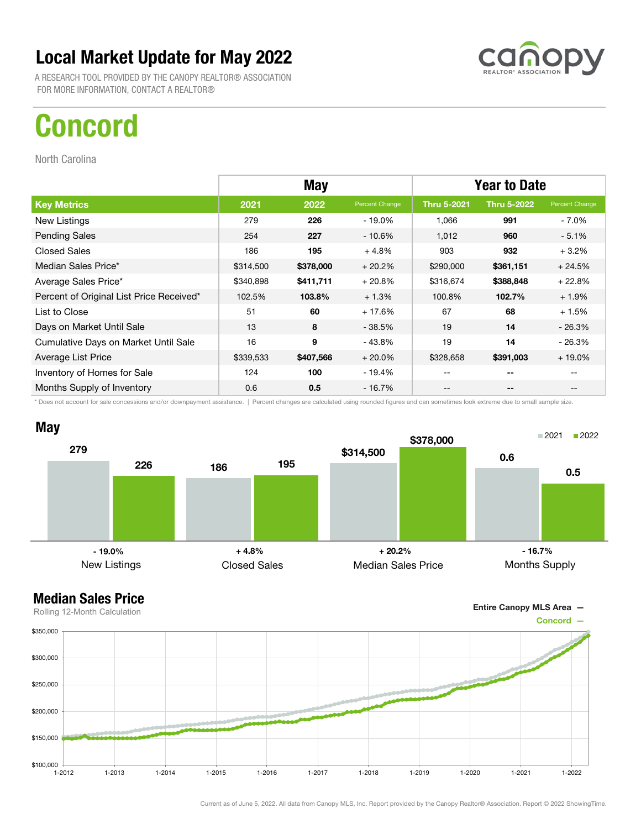

A RESEARCH TOOL PROVIDED BY THE CANOPY REALTOR® ASSOCIATION FOR MORE INFORMATION, CONTACT A REALTOR®

## Concord

North Carolina

|                                          | <b>May</b> |           |                | <b>Year to Date</b> |                    |                |
|------------------------------------------|------------|-----------|----------------|---------------------|--------------------|----------------|
| <b>Key Metrics</b>                       | 2021       | 2022      | Percent Change | <b>Thru 5-2021</b>  | <b>Thru 5-2022</b> | Percent Change |
| New Listings                             | 279        | 226       | - 19.0%        | 1,066               | 991                | - 7.0%         |
| <b>Pending Sales</b>                     | 254        | 227       | $-10.6\%$      | 1,012               | 960                | $-5.1%$        |
| <b>Closed Sales</b>                      | 186        | 195       | $+4.8%$        | 903                 | 932                | $+3.2%$        |
| Median Sales Price*                      | \$314,500  | \$378,000 | $+20.2%$       | \$290,000           | \$361,151          | $+24.5%$       |
| Average Sales Price*                     | \$340,898  | \$411,711 | $+20.8%$       | \$316,674           | \$388,848          | $+22.8%$       |
| Percent of Original List Price Received* | 102.5%     | 103.8%    | $+1.3%$        | 100.8%              | 102.7%             | $+1.9%$        |
| List to Close                            | 51         | 60        | $+17.6%$       | 67                  | 68                 | $+1.5%$        |
| Days on Market Until Sale                | 13         | 8         | $-38.5%$       | 19                  | 14                 | $-26.3%$       |
| Cumulative Days on Market Until Sale     | 16         | 9         | $-43.8%$       | 19                  | 14                 | $-26.3%$       |
| Average List Price                       | \$339,533  | \$407,566 | $+20.0%$       | \$328,658           | \$391,003          | $+19.0\%$      |
| Inventory of Homes for Sale              | 124        | 100       | - 19.4%        | --                  | --                 |                |
| Months Supply of Inventory               | 0.6        | 0.5       | $-16.7\%$      | --                  | --                 |                |

\* Does not account for sale concessions and/or downpayment assistance. | Percent changes are calculated using rounded figures and can sometimes look extreme due to small sample size.



Entire Canopy MLS Area —

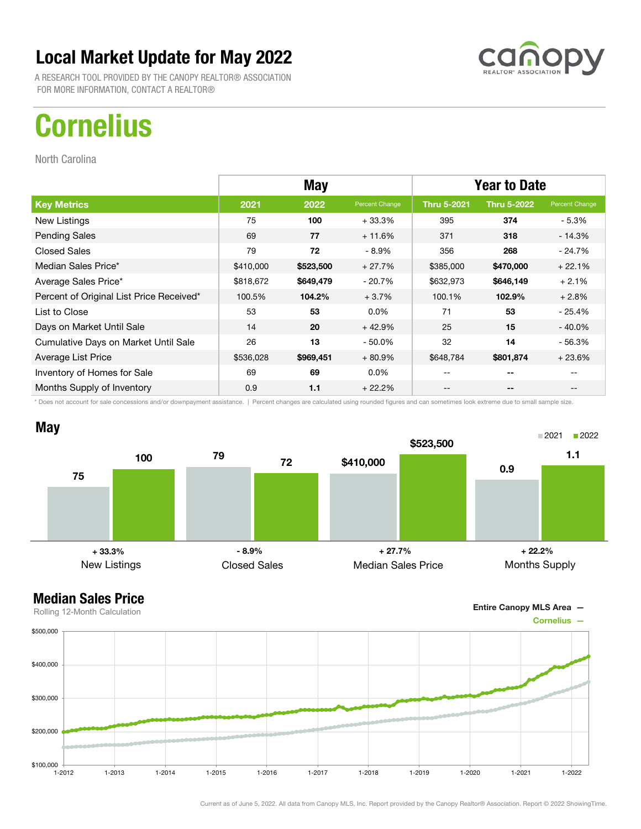

A RESEARCH TOOL PROVIDED BY THE CANOPY REALTOR® ASSOCIATION FOR MORE INFORMATION, CONTACT A REALTOR®

# **Cornelius**

North Carolina

|                                          | May       |           |                | <b>Year to Date</b> |                    |                |
|------------------------------------------|-----------|-----------|----------------|---------------------|--------------------|----------------|
| <b>Key Metrics</b>                       | 2021      | 2022      | Percent Change | <b>Thru 5-2021</b>  | <b>Thru 5-2022</b> | Percent Change |
| New Listings                             | 75        | 100       | $+33.3%$       | 395                 | 374                | - 5.3%         |
| <b>Pending Sales</b>                     | 69        | 77        | $+11.6%$       | 371                 | 318                | $-14.3%$       |
| <b>Closed Sales</b>                      | 79        | 72        | $-8.9%$        | 356                 | 268                | - 24.7%        |
| Median Sales Price*                      | \$410,000 | \$523,500 | $+27.7%$       | \$385,000           | \$470,000          | $+22.1%$       |
| Average Sales Price*                     | \$818,672 | \$649,479 | $-20.7%$       | \$632,973           | \$646,149          | $+2.1%$        |
| Percent of Original List Price Received* | 100.5%    | 104.2%    | $+3.7%$        | 100.1%              | 102.9%             | $+2.8%$        |
| List to Close                            | 53        | 53        | $0.0\%$        | 71                  | 53                 | $-25.4%$       |
| Days on Market Until Sale                | 14        | 20        | $+42.9%$       | 25                  | 15                 | $-40.0\%$      |
| Cumulative Days on Market Until Sale     | 26        | 13        | $-50.0\%$      | 32                  | 14                 | $-56.3%$       |
| Average List Price                       | \$536,028 | \$969,451 | $+80.9%$       | \$648,784           | \$801,874          | $+23.6%$       |
| Inventory of Homes for Sale              | 69        | 69        | $0.0\%$        | --                  | --                 |                |
| Months Supply of Inventory               | 0.9       | 1.1       | $+22.2%$       | --                  | --                 |                |

\* Does not account for sale concessions and/or downpayment assistance. | Percent changes are calculated using rounded figures and can sometimes look extreme due to small sample size.



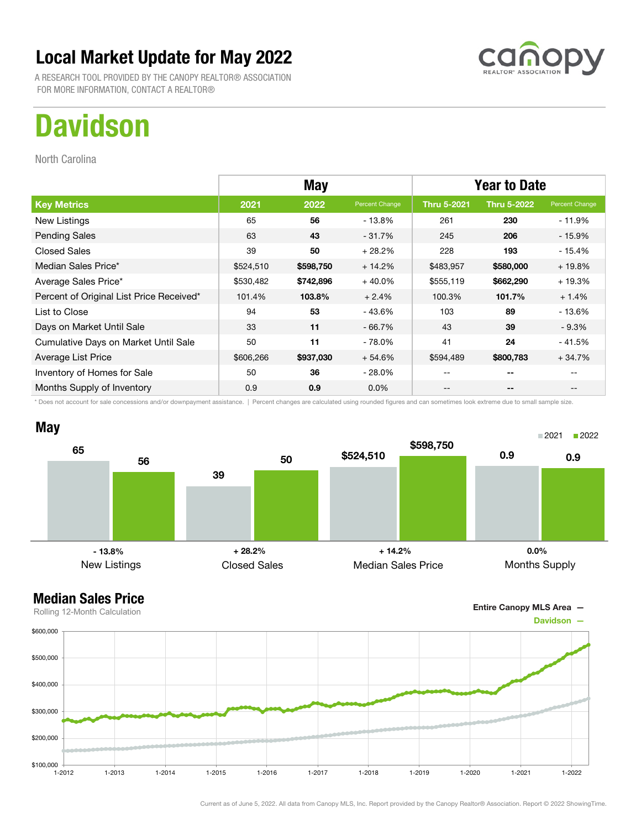

A RESEARCH TOOL PROVIDED BY THE CANOPY REALTOR® ASSOCIATION FOR MORE INFORMATION, CONTACT A REALTOR®

# **Davidson**

North Carolina

|                                          | <b>May</b> |           |                | <b>Year to Date</b> |                    |                |
|------------------------------------------|------------|-----------|----------------|---------------------|--------------------|----------------|
| <b>Key Metrics</b>                       | 2021       | 2022      | Percent Change | <b>Thru 5-2021</b>  | <b>Thru 5-2022</b> | Percent Change |
| New Listings                             | 65         | 56        | - 13.8%        | 261                 | 230                | - 11.9%        |
| <b>Pending Sales</b>                     | 63         | 43        | $-31.7%$       | 245                 | 206                | $-15.9%$       |
| <b>Closed Sales</b>                      | 39         | 50        | $+28.2%$       | 228                 | 193                | $-15.4%$       |
| Median Sales Price*                      | \$524,510  | \$598,750 | $+14.2%$       | \$483,957           | \$580,000          | $+19.8%$       |
| Average Sales Price*                     | \$530,482  | \$742,896 | $+40.0%$       | \$555,119           | \$662,290          | $+19.3%$       |
| Percent of Original List Price Received* | 101.4%     | 103.8%    | $+2.4%$        | 100.3%              | 101.7%             | $+1.4%$        |
| List to Close                            | 94         | 53        | $-43.6%$       | 103                 | 89                 | $-13.6%$       |
| Days on Market Until Sale                | 33         | 11        | $-66.7%$       | 43                  | 39                 | $-9.3\%$       |
| Cumulative Days on Market Until Sale     | 50         | 11        | $-78.0\%$      | 41                  | 24                 | $-41.5%$       |
| Average List Price                       | \$606,266  | \$937,030 | $+54.6%$       | \$594,489           | \$800,783          | $+34.7%$       |
| Inventory of Homes for Sale              | 50         | 36        | $-28.0\%$      |                     | --                 |                |
| Months Supply of Inventory               | 0.9        | 0.9       | $0.0\%$        | --                  | --                 |                |

\* Does not account for sale concessions and/or downpayment assistance. | Percent changes are calculated using rounded figures and can sometimes look extreme due to small sample size.





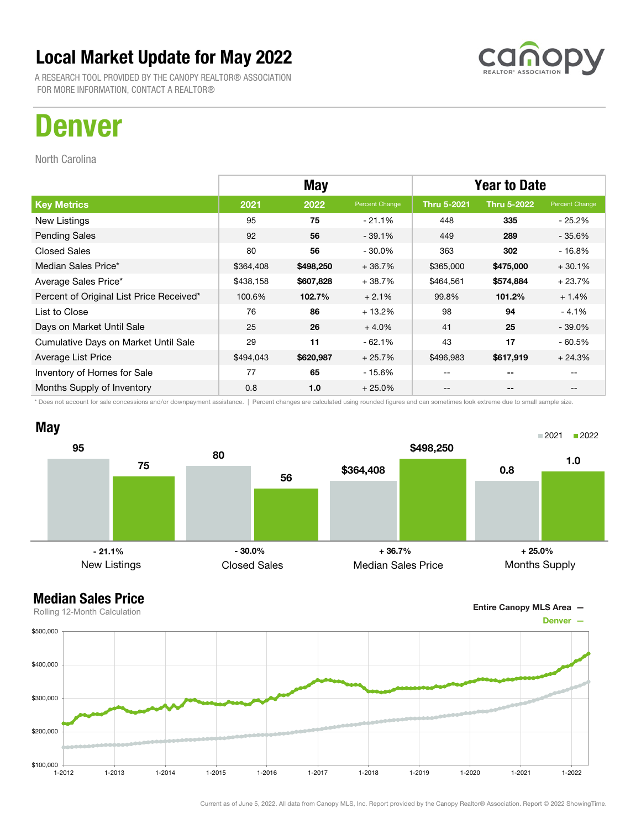

A RESEARCH TOOL PROVIDED BY THE CANOPY REALTOR® ASSOCIATION FOR MORE INFORMATION, CONTACT A REALTOR®

## Denver

North Carolina

|                                          | <b>May</b> |           |                | <b>Year to Date</b> |                    |                |
|------------------------------------------|------------|-----------|----------------|---------------------|--------------------|----------------|
| <b>Key Metrics</b>                       | 2021       | 2022      | Percent Change | <b>Thru 5-2021</b>  | <b>Thru 5-2022</b> | Percent Change |
| New Listings                             | 95         | 75        | $-21.1\%$      | 448                 | 335                | - 25.2%        |
| <b>Pending Sales</b>                     | 92         | 56        | $-39.1%$       | 449                 | 289                | - 35.6%        |
| <b>Closed Sales</b>                      | 80         | 56        | $-30.0\%$      | 363                 | 302                | $-16.8%$       |
| Median Sales Price*                      | \$364,408  | \$498,250 | $+36.7%$       | \$365,000           | \$475,000          | $+30.1%$       |
| Average Sales Price*                     | \$438,158  | \$607,828 | $+38.7%$       | \$464,561           | \$574,884          | $+23.7%$       |
| Percent of Original List Price Received* | 100.6%     | 102.7%    | $+2.1%$        | 99.8%               | 101.2%             | $+1.4%$        |
| List to Close                            | 76         | 86        | $+13.2%$       | 98                  | 94                 | $-4.1%$        |
| Days on Market Until Sale                | 25         | 26        | $+4.0%$        | 41                  | 25                 | $-39.0\%$      |
| Cumulative Days on Market Until Sale     | 29         | 11        | $-62.1%$       | 43                  | 17                 | - 60.5%        |
| Average List Price                       | \$494,043  | \$620,987 | $+25.7%$       | \$496,983           | \$617,919          | $+24.3%$       |
| Inventory of Homes for Sale              | 77         | 65        | - 15.6%        | --                  | --                 |                |
| Months Supply of Inventory               | 0.8        | 1.0       | $+25.0\%$      | --                  | --                 |                |

\* Does not account for sale concessions and/or downpayment assistance. | Percent changes are calculated using rounded figures and can sometimes look extreme due to small sample size.



#### Median Sales Price



Current as of June 5, 2022. All data from Canopy MLS, Inc. Report provided by the Canopy Realtor® Association. Report © 2022 ShowingTime.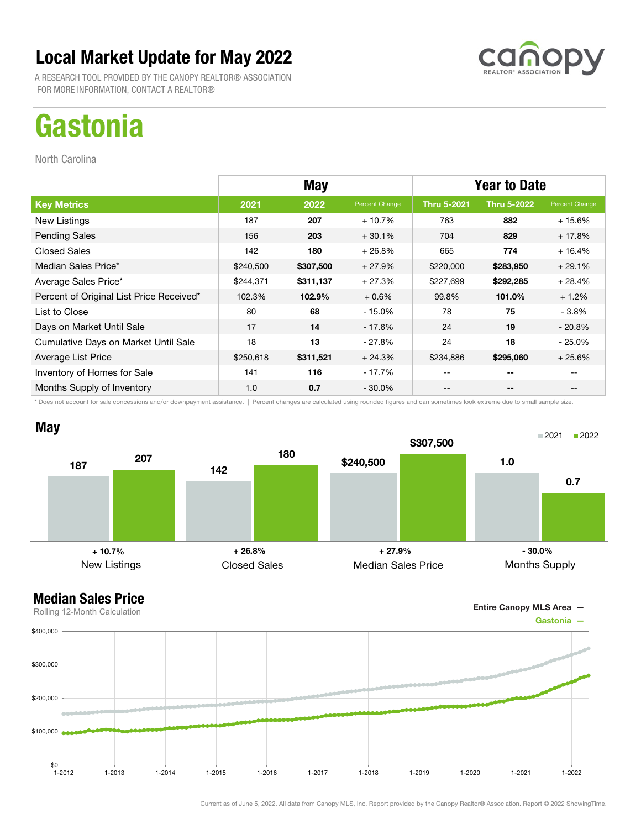

A RESEARCH TOOL PROVIDED BY THE CANOPY REALTOR® ASSOCIATION FOR MORE INFORMATION, CONTACT A REALTOR®

# **Gastonia**

North Carolina

|                                          | <b>May</b> |           |                | <b>Year to Date</b> |                    |                |
|------------------------------------------|------------|-----------|----------------|---------------------|--------------------|----------------|
| <b>Key Metrics</b>                       | 2021       | 2022      | Percent Change | <b>Thru 5-2021</b>  | <b>Thru 5-2022</b> | Percent Change |
| New Listings                             | 187        | 207       | $+10.7%$       | 763                 | 882                | $+15.6%$       |
| <b>Pending Sales</b>                     | 156        | 203       | $+30.1%$       | 704                 | 829                | $+17.8%$       |
| <b>Closed Sales</b>                      | 142        | 180       | $+26.8%$       | 665                 | 774                | $+16.4%$       |
| Median Sales Price*                      | \$240,500  | \$307,500 | $+27.9%$       | \$220,000           | \$283,950          | $+29.1%$       |
| Average Sales Price*                     | \$244,371  | \$311,137 | $+27.3%$       | \$227,699           | \$292,285          | $+28.4%$       |
| Percent of Original List Price Received* | 102.3%     | 102.9%    | $+0.6%$        | 99.8%               | 101.0%             | $+1.2%$        |
| List to Close                            | 80         | 68        | $-15.0\%$      | 78                  | 75                 | - 3.8%         |
| Days on Market Until Sale                | 17         | 14        | - 17.6%        | 24                  | 19                 | $-20.8\%$      |
| Cumulative Days on Market Until Sale     | 18         | 13        | $-27.8%$       | 24                  | 18                 | - 25.0%        |
| Average List Price                       | \$250,618  | \$311,521 | $+24.3%$       | \$234,886           | \$295,060          | $+25.6%$       |
| Inventory of Homes for Sale              | 141        | 116       | - 17.7%        | --                  | --                 |                |
| Months Supply of Inventory               | 1.0        | 0.7       | - 30.0%        | --                  | --                 |                |

\* Does not account for sale concessions and/or downpayment assistance. | Percent changes are calculated using rounded figures and can sometimes look extreme due to small sample size.



Entire Canopy MLS Area —

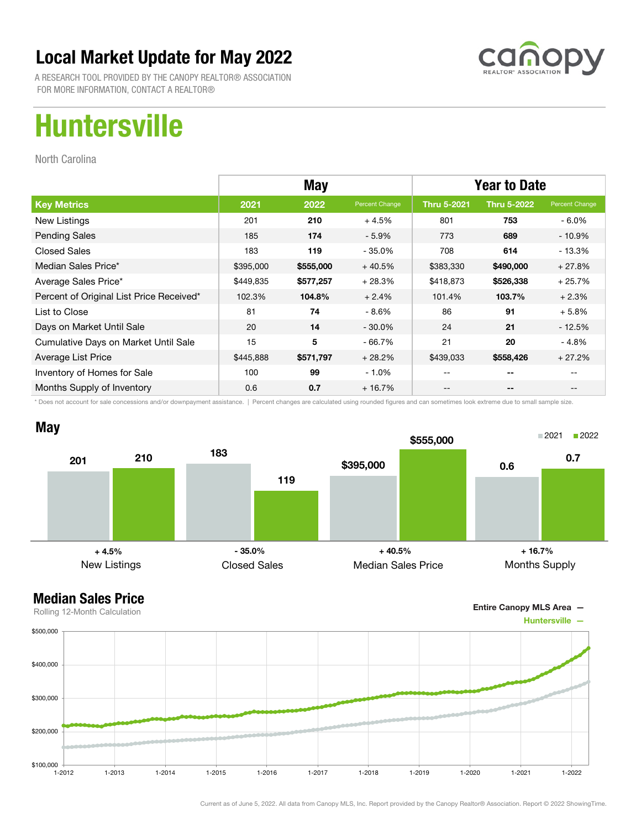

A RESEARCH TOOL PROVIDED BY THE CANOPY REALTOR® ASSOCIATION FOR MORE INFORMATION, CONTACT A REALTOR®

# Huntersville

North Carolina

|                                          | <b>May</b> |           |                | <b>Year to Date</b> |                    |                |
|------------------------------------------|------------|-----------|----------------|---------------------|--------------------|----------------|
| <b>Key Metrics</b>                       | 2021       | 2022      | Percent Change | <b>Thru 5-2021</b>  | <b>Thru 5-2022</b> | Percent Change |
| New Listings                             | 201        | 210       | $+4.5%$        | 801                 | 753                | $-6.0\%$       |
| <b>Pending Sales</b>                     | 185        | 174       | $-5.9%$        | 773                 | 689                | $-10.9%$       |
| <b>Closed Sales</b>                      | 183        | 119       | $-35.0%$       | 708                 | 614                | $-13.3%$       |
| Median Sales Price*                      | \$395,000  | \$555,000 | $+40.5%$       | \$383,330           | \$490,000          | $+27.8%$       |
| Average Sales Price*                     | \$449,835  | \$577,257 | $+28.3%$       | \$418,873           | \$526,338          | $+25.7%$       |
| Percent of Original List Price Received* | 102.3%     | 104.8%    | $+2.4%$        | 101.4%              | 103.7%             | $+2.3%$        |
| List to Close                            | 81         | 74        | $-8.6%$        | 86                  | 91                 | $+5.8%$        |
| Days on Market Until Sale                | 20         | 14        | $-30.0\%$      | 24                  | 21                 | $-12.5%$       |
| Cumulative Days on Market Until Sale     | 15         | 5         | - 66.7%        | 21                  | 20                 | $-4.8%$        |
| Average List Price                       | \$445,888  | \$571,797 | $+28.2%$       | \$439,033           | \$558,426          | $+27.2%$       |
| Inventory of Homes for Sale              | 100        | 99        | $-1.0\%$       | --                  | --                 |                |
| Months Supply of Inventory               | 0.6        | 0.7       | $+16.7%$       | --                  | --                 |                |

\* Does not account for sale concessions and/or downpayment assistance. | Percent changes are calculated using rounded figures and can sometimes look extreme due to small sample size.





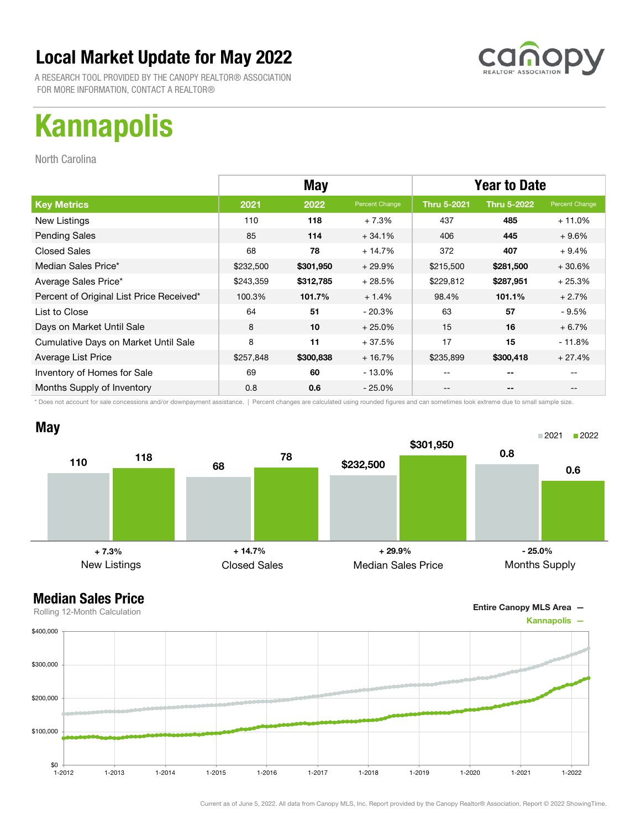

A RESEARCH TOOL PROVIDED BY THE CANOPY REALTOR® ASSOCIATION FOR MORE INFORMATION, CONTACT A REALTOR®

# Kannapolis

North Carolina

|                                          |           | <b>May</b> |                | <b>Year to Date</b> |                    |                |
|------------------------------------------|-----------|------------|----------------|---------------------|--------------------|----------------|
| <b>Key Metrics</b>                       | 2021      | 2022       | Percent Change | <b>Thru 5-2021</b>  | <b>Thru 5-2022</b> | Percent Change |
| New Listings                             | 110       | 118        | $+7.3%$        | 437                 | 485                | $+11.0\%$      |
| <b>Pending Sales</b>                     | 85        | 114        | $+34.1%$       | 406                 | 445                | $+9.6%$        |
| <b>Closed Sales</b>                      | 68        | 78         | $+14.7%$       | 372                 | 407                | $+9.4%$        |
| Median Sales Price*                      | \$232,500 | \$301,950  | $+29.9%$       | \$215,500           | \$281,500          | $+30.6%$       |
| Average Sales Price*                     | \$243,359 | \$312,785  | $+28.5%$       | \$229,812           | \$287,951          | $+25.3%$       |
| Percent of Original List Price Received* | 100.3%    | 101.7%     | $+1.4%$        | 98.4%               | 101.1%             | $+2.7%$        |
| List to Close                            | 64        | 51         | $-20.3%$       | 63                  | 57                 | - 9.5%         |
| Days on Market Until Sale                | 8         | 10         | $+25.0%$       | 15                  | 16                 | $+6.7%$        |
| Cumulative Days on Market Until Sale     | 8         | 11         | $+37.5%$       | 17                  | 15                 | $-11.8%$       |
| Average List Price                       | \$257,848 | \$300,838  | $+16.7%$       | \$235,899           | \$300,418          | $+27.4%$       |
| Inventory of Homes for Sale              | 69        | 60         | $-13.0\%$      |                     | --                 |                |
| Months Supply of Inventory               | 0.8       | 0.6        | $-25.0%$       |                     | --                 |                |

\* Does not account for sale concessions and/or downpayment assistance. | Percent changes are calculated using rounded figures and can sometimes look extreme due to small sample size.





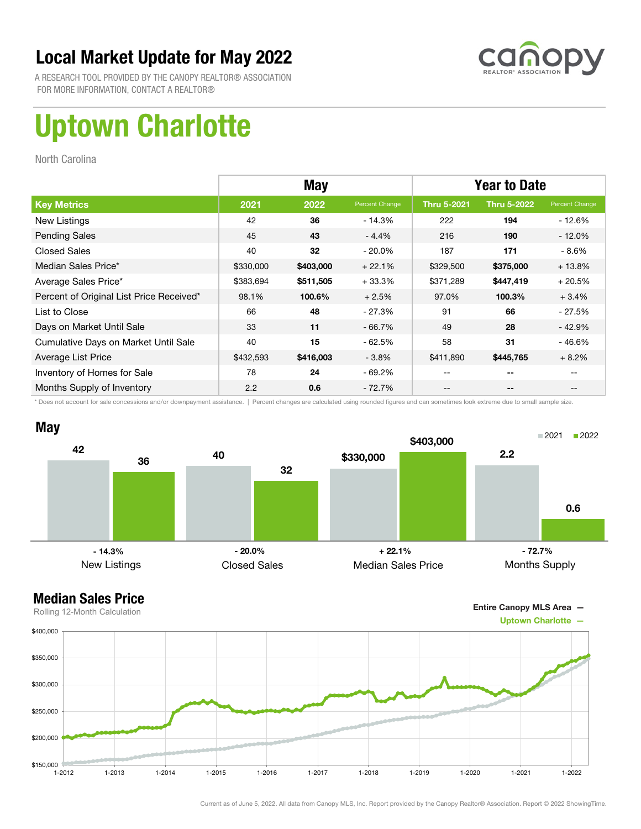

A RESEARCH TOOL PROVIDED BY THE CANOPY REALTOR® ASSOCIATION FOR MORE INFORMATION, CONTACT A REALTOR®

# Uptown Charlotte

North Carolina

|                                          | <b>May</b> |           |                | <b>Year to Date</b> |                    |                |
|------------------------------------------|------------|-----------|----------------|---------------------|--------------------|----------------|
| <b>Key Metrics</b>                       | 2021       | 2022      | Percent Change | <b>Thru 5-2021</b>  | <b>Thru 5-2022</b> | Percent Change |
| New Listings                             | 42         | 36        | $-14.3%$       | 222                 | 194                | - 12.6%        |
| <b>Pending Sales</b>                     | 45         | 43        | $-4.4%$        | 216                 | 190                | $-12.0%$       |
| <b>Closed Sales</b>                      | 40         | 32        | $-20.0%$       | 187                 | 171                | - 8.6%         |
| Median Sales Price*                      | \$330,000  | \$403,000 | $+22.1%$       | \$329,500           | \$375,000          | $+13.8%$       |
| Average Sales Price*                     | \$383,694  | \$511,505 | $+33.3%$       | \$371,289           | \$447,419          | $+20.5%$       |
| Percent of Original List Price Received* | 98.1%      | 100.6%    | $+2.5%$        | 97.0%               | 100.3%             | $+3.4%$        |
| List to Close                            | 66         | 48        | $-27.3%$       | 91                  | 66                 | - 27.5%        |
| Days on Market Until Sale                | 33         | 11        | $-66.7%$       | 49                  | 28                 | $-42.9%$       |
| Cumulative Days on Market Until Sale     | 40         | 15        | $-62.5%$       | 58                  | 31                 | $-46.6%$       |
| Average List Price                       | \$432,593  | \$416,003 | $-3.8%$        | \$411,890           | \$445,765          | $+8.2%$        |
| Inventory of Homes for Sale              | 78         | 24        | $-69.2%$       |                     | --                 |                |
| Months Supply of Inventory               | 2.2        | 0.6       | $-72.7%$       |                     | --                 |                |

\* Does not account for sale concessions and/or downpayment assistance. | Percent changes are calculated using rounded figures and can sometimes look extreme due to small sample size.



#### Median Sales Price



Current as of June 5, 2022. All data from Canopy MLS, Inc. Report provided by the Canopy Realtor® Association. Report © 2022 ShowingTime.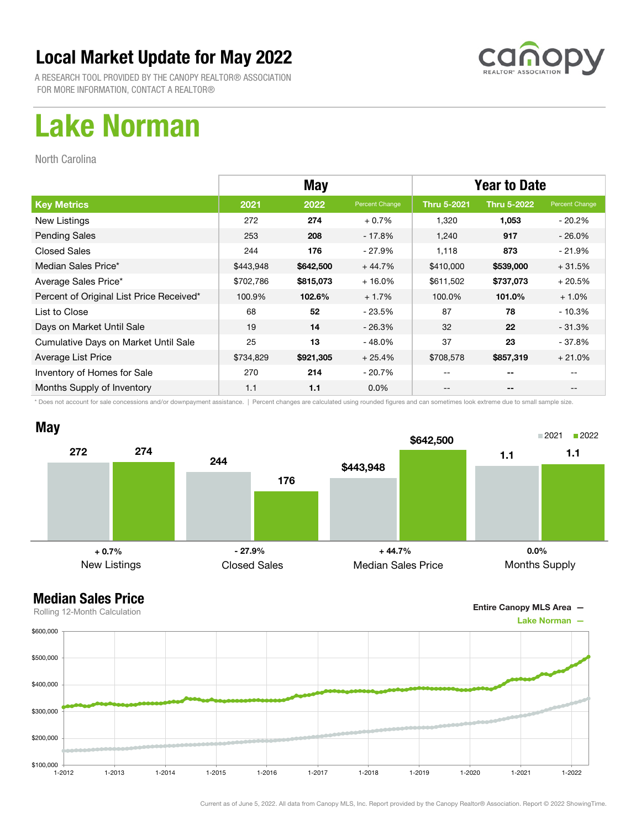

A RESEARCH TOOL PROVIDED BY THE CANOPY REALTOR® ASSOCIATION FOR MORE INFORMATION, CONTACT A REALTOR®

## Lake Norman

North Carolina

|                                          |           | <b>May</b> |                | <b>Year to Date</b> |                    |                |
|------------------------------------------|-----------|------------|----------------|---------------------|--------------------|----------------|
| <b>Key Metrics</b>                       | 2021      | 2022       | Percent Change | <b>Thru 5-2021</b>  | <b>Thru 5-2022</b> | Percent Change |
| New Listings                             | 272       | 274        | $+0.7%$        | 1,320               | 1,053              | $-20.2\%$      |
| <b>Pending Sales</b>                     | 253       | 208        | - 17.8%        | 1,240               | 917                | $-26.0\%$      |
| <b>Closed Sales</b>                      | 244       | 176        | $-27.9%$       | 1,118               | 873                | $-21.9%$       |
| Median Sales Price*                      | \$443,948 | \$642,500  | $+44.7%$       | \$410,000           | \$539,000          | $+31.5%$       |
| Average Sales Price*                     | \$702,786 | \$815,073  | $+16.0%$       | \$611,502           | \$737,073          | $+20.5%$       |
| Percent of Original List Price Received* | 100.9%    | 102.6%     | $+1.7%$        | 100.0%              | 101.0%             | $+1.0%$        |
| List to Close                            | 68        | 52         | - 23.5%        | 87                  | 78                 | $-10.3%$       |
| Days on Market Until Sale                | 19        | 14         | $-26.3%$       | 32                  | 22                 | $-31.3%$       |
| Cumulative Days on Market Until Sale     | 25        | 13         | $-48.0\%$      | 37                  | 23                 | - 37.8%        |
| Average List Price                       | \$734,829 | \$921,305  | $+25.4%$       | \$708,578           | \$857,319          | $+21.0%$       |
| Inventory of Homes for Sale              | 270       | 214        | $-20.7\%$      | --                  | --                 |                |
| Months Supply of Inventory               | 1.1       | 1.1        | $0.0\%$        | --                  | --                 |                |

\* Does not account for sale concessions and/or downpayment assistance. | Percent changes are calculated using rounded figures and can sometimes look extreme due to small sample size.



Entire Canopy MLS Area —

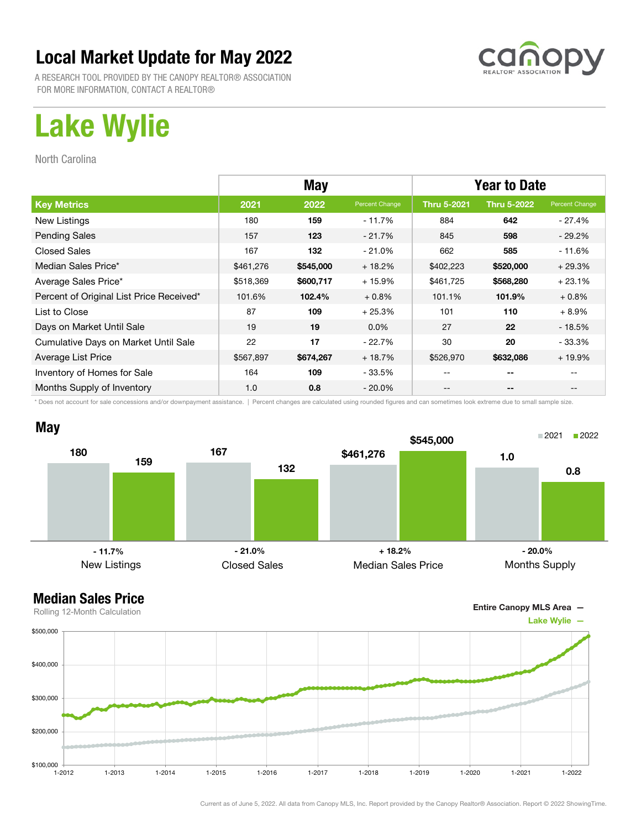

A RESEARCH TOOL PROVIDED BY THE CANOPY REALTOR® ASSOCIATION FOR MORE INFORMATION, CONTACT A REALTOR®

# Lake Wylie

North Carolina

|                                          | <b>May</b> |           |                | <b>Year to Date</b> |                    |                |
|------------------------------------------|------------|-----------|----------------|---------------------|--------------------|----------------|
| <b>Key Metrics</b>                       | 2021       | 2022      | Percent Change | <b>Thru 5-2021</b>  | <b>Thru 5-2022</b> | Percent Change |
| New Listings                             | 180        | 159       | $-11.7%$       | 884                 | 642                | $-27.4%$       |
| <b>Pending Sales</b>                     | 157        | 123       | $-21.7%$       | 845                 | 598                | $-29.2%$       |
| <b>Closed Sales</b>                      | 167        | 132       | $-21.0%$       | 662                 | 585                | $-11.6%$       |
| Median Sales Price*                      | \$461,276  | \$545,000 | $+18.2%$       | \$402,223           | \$520,000          | $+29.3%$       |
| Average Sales Price*                     | \$518,369  | \$600,717 | $+15.9%$       | \$461,725           | \$568,280          | $+23.1%$       |
| Percent of Original List Price Received* | 101.6%     | 102.4%    | $+0.8%$        | 101.1%              | 101.9%             | $+0.8\%$       |
| List to Close                            | 87         | 109       | $+25.3%$       | 101                 | 110                | $+8.9%$        |
| Days on Market Until Sale                | 19         | 19        | $0.0\%$        | 27                  | 22                 | $-18.5%$       |
| Cumulative Days on Market Until Sale     | 22         | 17        | $-22.7%$       | 30                  | 20                 | - 33.3%        |
| Average List Price                       | \$567,897  | \$674,267 | $+18.7%$       | \$526,970           | \$632,086          | $+19.9%$       |
| Inventory of Homes for Sale              | 164        | 109       | - 33.5%        |                     | --                 |                |
| Months Supply of Inventory               | 1.0        | 0.8       | $-20.0\%$      |                     | --                 |                |

\* Does not account for sale concessions and/or downpayment assistance. | Percent changes are calculated using rounded figures and can sometimes look extreme due to small sample size.



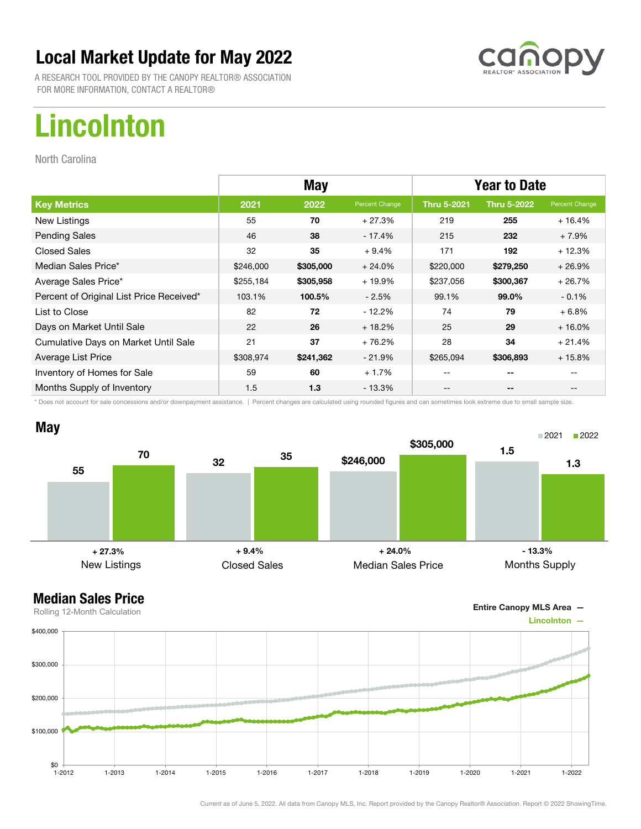

A RESEARCH TOOL PROVIDED BY THE CANOPY REALTOR® ASSOCIATION FOR MORE INFORMATION, CONTACT A REALTOR®

# Lincolnton

North Carolina

|                                          | <b>May</b> |           |                | <b>Year to Date</b> |                    |                |
|------------------------------------------|------------|-----------|----------------|---------------------|--------------------|----------------|
| <b>Key Metrics</b>                       | 2021       | 2022      | Percent Change | <b>Thru 5-2021</b>  | <b>Thru 5-2022</b> | Percent Change |
| New Listings                             | 55         | 70        | $+27.3%$       | 219                 | 255                | $+16.4%$       |
| <b>Pending Sales</b>                     | 46         | 38        | - 17.4%        | 215                 | 232                | $+7.9%$        |
| <b>Closed Sales</b>                      | 32         | 35        | $+9.4%$        | 171                 | 192                | $+12.3%$       |
| Median Sales Price*                      | \$246,000  | \$305,000 | $+24.0%$       | \$220,000           | \$279,250          | $+26.9%$       |
| Average Sales Price*                     | \$255,184  | \$305,958 | $+19.9%$       | \$237,056           | \$300,367          | $+26.7%$       |
| Percent of Original List Price Received* | 103.1%     | 100.5%    | $-2.5%$        | 99.1%               | 99.0%              | $-0.1%$        |
| List to Close                            | 82         | 72        | $-12.2%$       | 74                  | 79                 | $+6.8%$        |
| Days on Market Until Sale                | 22         | 26        | $+18.2%$       | 25                  | 29                 | $+16.0%$       |
| Cumulative Days on Market Until Sale     | 21         | 37        | $+76.2%$       | 28                  | 34                 | $+21.4%$       |
| Average List Price                       | \$308,974  | \$241,362 | $-21.9%$       | \$265,094           | \$306,893          | $+15.8%$       |
| Inventory of Homes for Sale              | 59         | 60        | $+1.7%$        | --                  | --                 |                |
| Months Supply of Inventory               | 1.5        | 1.3       | - 13.3%        | --                  | --                 |                |

\* Does not account for sale concessions and/or downpayment assistance. | Percent changes are calculated using rounded figures and can sometimes look extreme due to small sample size.



Entire Canopy MLS Area —

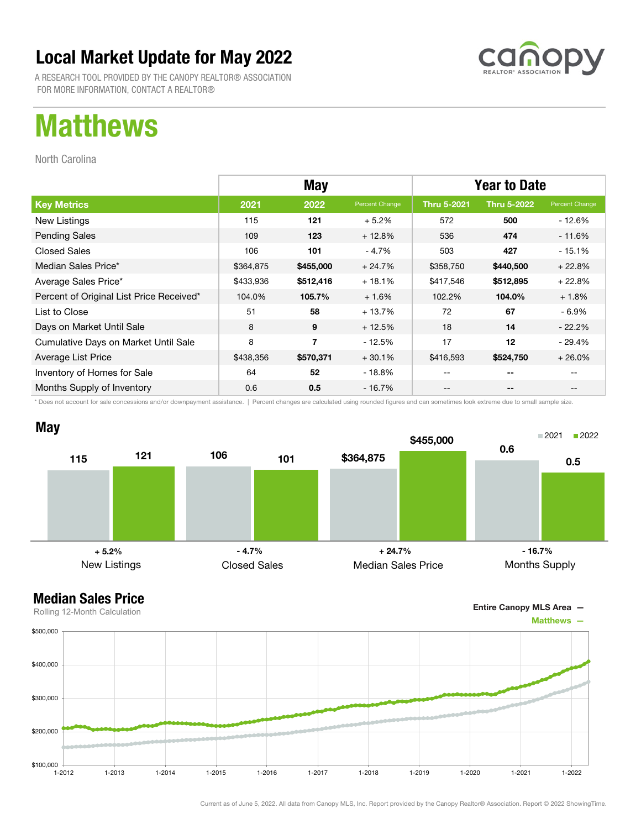

A RESEARCH TOOL PROVIDED BY THE CANOPY REALTOR® ASSOCIATION FOR MORE INFORMATION, CONTACT A REALTOR®

## Matthews

North Carolina

|                                          | <b>May</b> |           |                | <b>Year to Date</b> |                    |                |
|------------------------------------------|------------|-----------|----------------|---------------------|--------------------|----------------|
| <b>Key Metrics</b>                       | 2021       | 2022      | Percent Change | <b>Thru 5-2021</b>  | <b>Thru 5-2022</b> | Percent Change |
| New Listings                             | 115        | 121       | $+5.2%$        | 572                 | 500                | - 12.6%        |
| <b>Pending Sales</b>                     | 109        | 123       | $+12.8%$       | 536                 | 474                | - 11.6%        |
| <b>Closed Sales</b>                      | 106        | 101       | $-4.7%$        | 503                 | 427                | $-15.1%$       |
| Median Sales Price*                      | \$364,875  | \$455,000 | $+24.7%$       | \$358,750           | \$440,500          | $+22.8%$       |
| Average Sales Price*                     | \$433,936  | \$512,416 | $+18.1%$       | \$417,546           | \$512,895          | $+22.8%$       |
| Percent of Original List Price Received* | 104.0%     | 105.7%    | $+1.6%$        | 102.2%              | 104.0%             | $+1.8%$        |
| List to Close                            | 51         | 58        | $+13.7%$       | 72                  | 67                 | $-6.9\%$       |
| Days on Market Until Sale                | 8          | 9         | $+12.5%$       | 18                  | 14                 | $-22.2\%$      |
| Cumulative Days on Market Until Sale     | 8          | 7         | - 12.5%        | 17                  | 12                 | $-29.4%$       |
| Average List Price                       | \$438,356  | \$570,371 | $+30.1%$       | \$416,593           | \$524,750          | $+26.0%$       |
| Inventory of Homes for Sale              | 64         | 52        | - 18.8%        | --                  | --                 |                |
| Months Supply of Inventory               | 0.6        | 0.5       | - 16.7%        | --                  | --                 |                |

\* Does not account for sale concessions and/or downpayment assistance. | Percent changes are calculated using rounded figures and can sometimes look extreme due to small sample size.



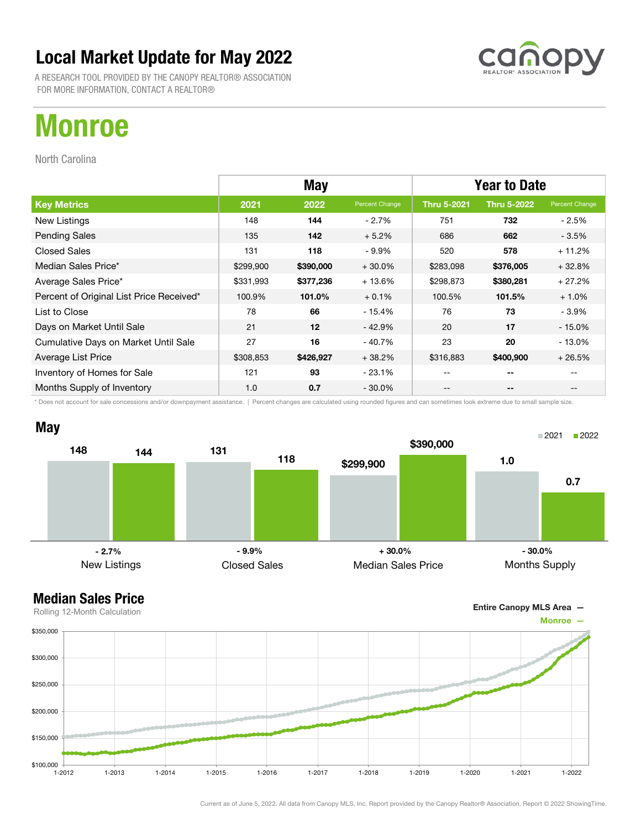

A RESEARCH TOOL PROVIDED BY THE CANOPY REALTOR® ASSOCIATION FOR MORE INFORMATION, CONTACT A REALTOR®

# Monroe

North Carolina

|                                          | <b>May</b> |           |                | <b>Year to Date</b> |                    |                |
|------------------------------------------|------------|-----------|----------------|---------------------|--------------------|----------------|
| <b>Key Metrics</b>                       | 2021       | 2022      | Percent Change | <b>Thru 5-2021</b>  | <b>Thru 5-2022</b> | Percent Change |
| New Listings                             | 148        | 144       | $-2.7%$        | 751                 | 732                | - 2.5%         |
| <b>Pending Sales</b>                     | 135        | 142       | $+5.2%$        | 686                 | 662                | $-3.5%$        |
| <b>Closed Sales</b>                      | 131        | 118       | $-9.9\%$       | 520                 | 578                | $+11.2%$       |
| Median Sales Price*                      | \$299,900  | \$390,000 | $+30.0%$       | \$283,098           | \$376,005          | $+32.8%$       |
| Average Sales Price*                     | \$331,993  | \$377,236 | $+13.6%$       | \$298,873           | \$380,281          | $+27.2%$       |
| Percent of Original List Price Received* | 100.9%     | 101.0%    | $+0.1%$        | 100.5%              | 101.5%             | $+1.0%$        |
| List to Close                            | 78         | 66        | $-15.4%$       | 76                  | 73                 | - 3.9%         |
| Days on Market Until Sale                | 21         | 12        | $-42.9%$       | 20                  | 17                 | $-15.0%$       |
| Cumulative Days on Market Until Sale     | 27         | 16        | $-40.7%$       | 23                  | 20                 | $-13.0\%$      |
| Average List Price                       | \$308,853  | \$426,927 | $+38.2%$       | \$316,883           | \$400,900          | $+26.5%$       |
| Inventory of Homes for Sale              | 121        | 93        | $-23.1%$       | --                  | --                 |                |
| Months Supply of Inventory               | 1.0        | 0.7       | $-30.0\%$      | --                  | --                 |                |

\* Does not account for sale concessions and/or downpayment assistance. | Percent changes are calculated using rounded figures and can sometimes look extreme due to small sample size.



Entire Canopy MLS Area —

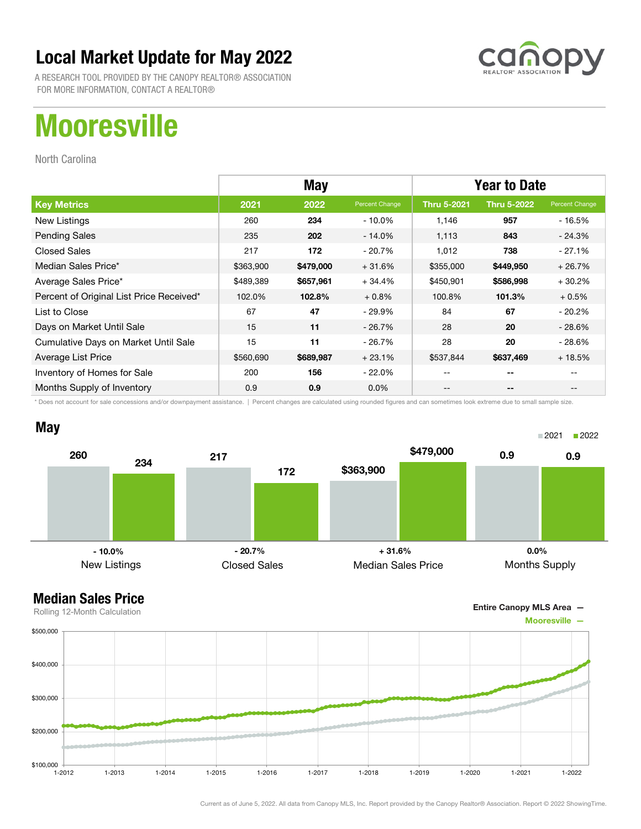

A RESEARCH TOOL PROVIDED BY THE CANOPY REALTOR® ASSOCIATION FOR MORE INFORMATION, CONTACT A REALTOR®

# **Mooresville**

North Carolina

|                                          | <b>May</b> |           |                | <b>Year to Date</b> |                    |                |
|------------------------------------------|------------|-----------|----------------|---------------------|--------------------|----------------|
| <b>Key Metrics</b>                       | 2021       | 2022      | Percent Change | <b>Thru 5-2021</b>  | <b>Thru 5-2022</b> | Percent Change |
| New Listings                             | 260        | 234       | $-10.0\%$      | 1,146               | 957                | - 16.5%        |
| <b>Pending Sales</b>                     | 235        | 202       | $-14.0\%$      | 1,113               | 843                | $-24.3%$       |
| <b>Closed Sales</b>                      | 217        | 172       | - 20.7%        | 1,012               | 738                | $-27.1%$       |
| Median Sales Price*                      | \$363,900  | \$479,000 | $+31.6%$       | \$355,000           | \$449,950          | $+26.7%$       |
| Average Sales Price*                     | \$489,389  | \$657,961 | $+34.4%$       | \$450,901           | \$586,998          | $+30.2%$       |
| Percent of Original List Price Received* | 102.0%     | 102.8%    | $+0.8%$        | 100.8%              | 101.3%             | $+0.5%$        |
| List to Close                            | 67         | 47        | $-29.9\%$      | 84                  | 67                 | $-20.2\%$      |
| Days on Market Until Sale                | 15         | 11        | $-26.7\%$      | 28                  | 20                 | $-28.6\%$      |
| Cumulative Days on Market Until Sale     | 15         | 11        | - 26.7%        | 28                  | 20                 | $-28.6%$       |
| Average List Price                       | \$560,690  | \$689,987 | $+23.1%$       | \$537,844           | \$637,469          | $+18.5%$       |
| Inventory of Homes for Sale              | 200        | 156       | $-22.0\%$      | --                  | --                 |                |
| Months Supply of Inventory               | 0.9        | 0.9       | $0.0\%$        | --                  | --                 |                |

\* Does not account for sale concessions and/or downpayment assistance. | Percent changes are calculated using rounded figures and can sometimes look extreme due to small sample size.



Entire Canopy MLS Area —

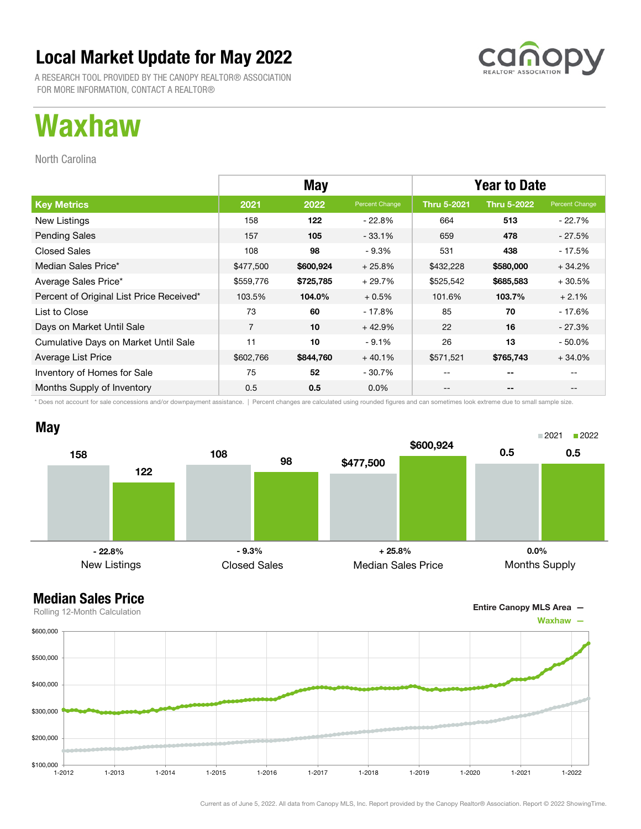

A RESEARCH TOOL PROVIDED BY THE CANOPY REALTOR® ASSOCIATION FOR MORE INFORMATION, CONTACT A REALTOR®

## Waxhaw

North Carolina

|                                          | <b>May</b>     |           |                | <b>Year to Date</b> |                    |                |
|------------------------------------------|----------------|-----------|----------------|---------------------|--------------------|----------------|
| <b>Key Metrics</b>                       | 2021           | 2022      | Percent Change | <b>Thru 5-2021</b>  | <b>Thru 5-2022</b> | Percent Change |
| New Listings                             | 158            | 122       | $-22.8\%$      | 664                 | 513                | $-22.7%$       |
| <b>Pending Sales</b>                     | 157            | 105       | $-33.1%$       | 659                 | 478                | - 27.5%        |
| <b>Closed Sales</b>                      | 108            | 98        | $-9.3%$        | 531                 | 438                | - 17.5%        |
| Median Sales Price*                      | \$477,500      | \$600,924 | $+25.8%$       | \$432,228           | \$580,000          | $+34.2%$       |
| Average Sales Price*                     | \$559,776      | \$725,785 | $+29.7%$       | \$525,542           | \$685,583          | $+30.5%$       |
| Percent of Original List Price Received* | 103.5%         | 104.0%    | $+0.5%$        | 101.6%              | 103.7%             | $+2.1%$        |
| List to Close                            | 73             | 60        | $-17.8%$       | 85                  | 70                 | - 17.6%        |
| Days on Market Until Sale                | $\overline{7}$ | 10        | $+42.9%$       | 22                  | 16                 | $-27.3\%$      |
| Cumulative Days on Market Until Sale     | 11             | 10        | $-9.1%$        | 26                  | 13                 | $-50.0\%$      |
| Average List Price                       | \$602,766      | \$844,760 | $+40.1%$       | \$571,521           | \$765,743          | $+34.0%$       |
| Inventory of Homes for Sale              | 75             | 52        | - 30.7%        | --                  | --                 |                |
| Months Supply of Inventory               | 0.5            | 0.5       | $0.0\%$        | --                  | --                 |                |

\* Does not account for sale concessions and/or downpayment assistance. | Percent changes are calculated using rounded figures and can sometimes look extreme due to small sample size.





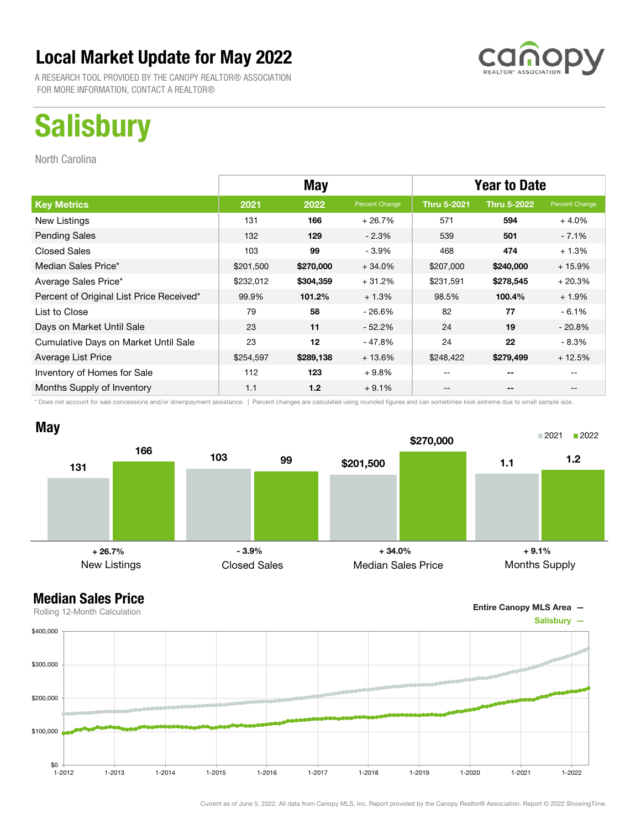

A RESEARCH TOOL PROVIDED BY THE CANOPY REALTOR® ASSOCIATION FOR MORE INFORMATION, CONTACT A REALTOR®

# **Salisbury**

North Carolina

|                                          | <b>May</b> |           |                | <b>Year to Date</b> |                    |                                       |
|------------------------------------------|------------|-----------|----------------|---------------------|--------------------|---------------------------------------|
| <b>Key Metrics</b>                       | 2021       | 2022      | Percent Change | <b>Thru 5-2021</b>  | <b>Thru 5-2022</b> | Percent Change                        |
| New Listings                             | 131        | 166       | $+26.7%$       | 571                 | 594                | $+4.0%$                               |
| <b>Pending Sales</b>                     | 132        | 129       | $-2.3%$        | 539                 | 501                | $-7.1%$                               |
| <b>Closed Sales</b>                      | 103        | 99        | $-3.9%$        | 468                 | 474                | $+1.3%$                               |
| Median Sales Price*                      | \$201,500  | \$270,000 | $+34.0%$       | \$207,000           | \$240,000          | $+15.9%$                              |
| Average Sales Price*                     | \$232,012  | \$304,359 | $+31.2%$       | \$231,591           | \$278,545          | $+20.3%$                              |
| Percent of Original List Price Received* | 99.9%      | 101.2%    | $+1.3%$        | 98.5%               | 100.4%             | $+1.9%$                               |
| List to Close                            | 79         | 58        | - 26.6%        | 82                  | 77                 | $-6.1%$                               |
| Days on Market Until Sale                | 23         | 11        | $-52.2\%$      | 24                  | 19                 | $-20.8%$                              |
| Cumulative Days on Market Until Sale     | 23         | 12        | - 47.8%        | 24                  | 22                 | - 8.3%                                |
| Average List Price                       | \$254,597  | \$289,138 | $+13.6%$       | \$248,422           | \$279,499          | $+12.5%$                              |
| Inventory of Homes for Sale              | 112        | 123       | $+9.8%$        | --                  | --                 |                                       |
| Months Supply of Inventory               | 1.1        | 1.2       | $+9.1%$        | $- -$               | --                 | $\hspace{0.05cm}$ – $\hspace{0.05cm}$ |

\* Does not account for sale concessions and/or downpayment assistance. | Percent changes are calculated using rounded figures and can sometimes look extreme due to small sample size.



Entire Canopy MLS Area —

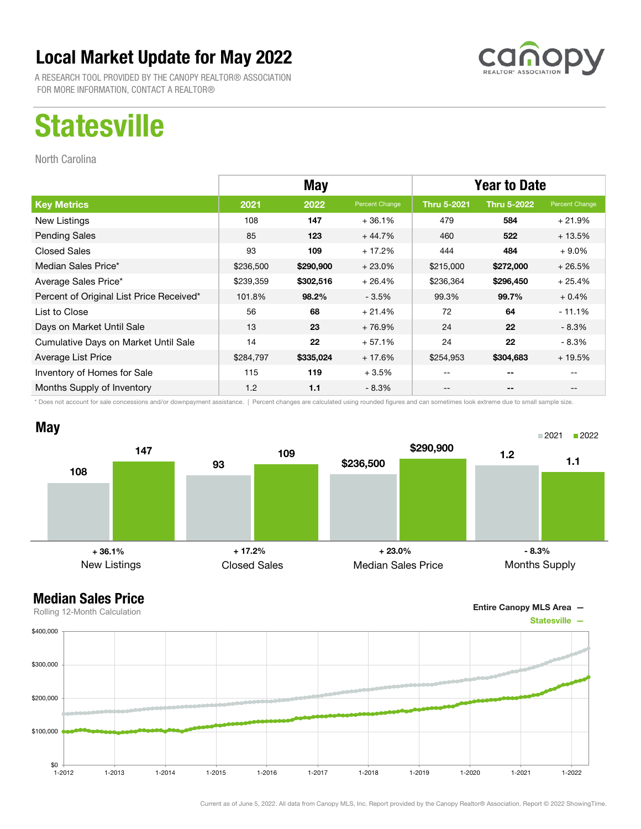

A RESEARCH TOOL PROVIDED BY THE CANOPY REALTOR® ASSOCIATION FOR MORE INFORMATION, CONTACT A REALTOR®

# **Statesville**

North Carolina

|                                          | <b>May</b> |           |                | <b>Year to Date</b> |                    |                |
|------------------------------------------|------------|-----------|----------------|---------------------|--------------------|----------------|
| <b>Key Metrics</b>                       | 2021       | 2022      | Percent Change | <b>Thru 5-2021</b>  | <b>Thru 5-2022</b> | Percent Change |
| New Listings                             | 108        | 147       | $+36.1%$       | 479                 | 584                | $+21.9%$       |
| <b>Pending Sales</b>                     | 85         | 123       | $+44.7%$       | 460                 | 522                | $+13.5%$       |
| <b>Closed Sales</b>                      | 93         | 109       | $+17.2%$       | 444                 | 484                | $+9.0\%$       |
| Median Sales Price*                      | \$236,500  | \$290,900 | $+23.0%$       | \$215,000           | \$272,000          | $+26.5%$       |
| Average Sales Price*                     | \$239,359  | \$302,516 | $+26.4%$       | \$236,364           | \$296,450          | $+25.4%$       |
| Percent of Original List Price Received* | 101.8%     | 98.2%     | $-3.5%$        | 99.3%               | 99.7%              | $+0.4%$        |
| List to Close                            | 56         | 68        | $+21.4%$       | 72                  | 64                 | $-11.1%$       |
| Days on Market Until Sale                | 13         | 23        | $+76.9%$       | 24                  | 22                 | $-8.3\%$       |
| Cumulative Days on Market Until Sale     | 14         | 22        | $+57.1%$       | 24                  | 22                 | $-8.3\%$       |
| Average List Price                       | \$284,797  | \$335,024 | $+17.6%$       | \$254,953           | \$304,683          | $+19.5%$       |
| Inventory of Homes for Sale              | 115        | 119       | $+3.5%$        |                     | --                 |                |
| Months Supply of Inventory               | 1.2        | 1.1       | $-8.3%$        | --                  | --                 |                |

\* Does not account for sale concessions and/or downpayment assistance. | Percent changes are calculated using rounded figures and can sometimes look extreme due to small sample size.



Entire Canopy MLS Area —

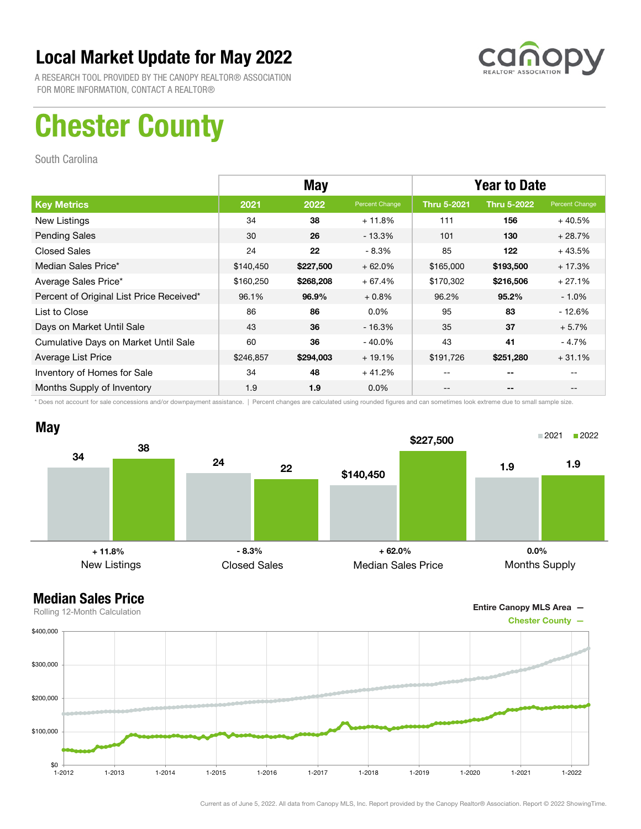

A RESEARCH TOOL PROVIDED BY THE CANOPY REALTOR® ASSOCIATION FOR MORE INFORMATION, CONTACT A REALTOR®

# Chester County

South Carolina

|                                          | <b>May</b> |           |                | <b>Year to Date</b> |                    |                |
|------------------------------------------|------------|-----------|----------------|---------------------|--------------------|----------------|
| <b>Key Metrics</b>                       | 2021       | 2022      | Percent Change | <b>Thru 5-2021</b>  | <b>Thru 5-2022</b> | Percent Change |
| New Listings                             | 34         | 38        | $+11.8%$       | 111                 | 156                | $+40.5%$       |
| <b>Pending Sales</b>                     | 30         | 26        | $-13.3\%$      | 101                 | 130                | $+28.7%$       |
| <b>Closed Sales</b>                      | 24         | 22        | $-8.3%$        | 85                  | 122                | $+43.5%$       |
| Median Sales Price*                      | \$140,450  | \$227,500 | $+62.0%$       | \$165,000           | \$193,500          | $+17.3%$       |
| Average Sales Price*                     | \$160,250  | \$268,208 | $+67.4%$       | \$170,302           | \$216,506          | $+27.1%$       |
| Percent of Original List Price Received* | 96.1%      | 96.9%     | $+0.8%$        | 96.2%               | 95.2%              | $-1.0\%$       |
| List to Close                            | 86         | 86        | $0.0\%$        | 95                  | 83                 | $-12.6%$       |
| Days on Market Until Sale                | 43         | 36        | $-16.3%$       | 35                  | 37                 | $+5.7%$        |
| Cumulative Days on Market Until Sale     | 60         | 36        | $-40.0\%$      | 43                  | 41                 | - 4.7%         |
| Average List Price                       | \$246,857  | \$294,003 | $+19.1%$       | \$191,726           | \$251,280          | $+31.1%$       |
| Inventory of Homes for Sale              | 34         | 48        | $+41.2%$       | --                  | --                 |                |
| Months Supply of Inventory               | 1.9        | 1.9       | $0.0\%$        | --                  | --                 |                |

\* Does not account for sale concessions and/or downpayment assistance. | Percent changes are calculated using rounded figures and can sometimes look extreme due to small sample size.





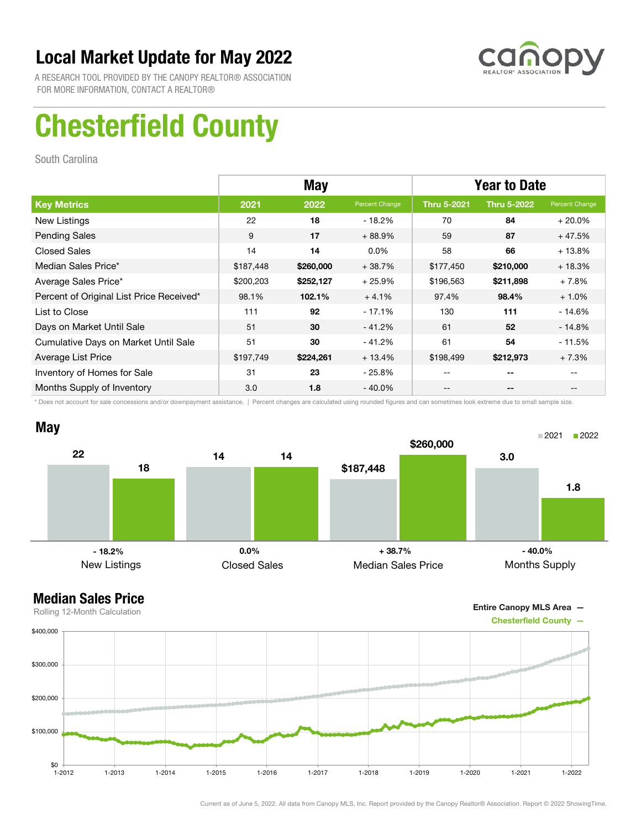

A RESEARCH TOOL PROVIDED BY THE CANOPY REALTOR® ASSOCIATION FOR MORE INFORMATION, CONTACT A REALTOR®

# Chesterfield County

South Carolina

|                                          |           | <b>May</b> |                | <b>Year to Date</b> |                    |                |
|------------------------------------------|-----------|------------|----------------|---------------------|--------------------|----------------|
| <b>Key Metrics</b>                       | 2021      | 2022       | Percent Change | <b>Thru 5-2021</b>  | <b>Thru 5-2022</b> | Percent Change |
| New Listings                             | 22        | 18         | - 18.2%        | 70                  | 84                 | $+20.0%$       |
| <b>Pending Sales</b>                     | 9         | 17         | $+88.9%$       | 59                  | 87                 | $+47.5%$       |
| <b>Closed Sales</b>                      | 14        | 14         | $0.0\%$        | 58                  | 66                 | $+13.8%$       |
| Median Sales Price*                      | \$187,448 | \$260,000  | $+38.7%$       | \$177,450           | \$210,000          | $+18.3%$       |
| Average Sales Price*                     | \$200,203 | \$252,127  | $+25.9%$       | \$196,563           | \$211,898          | $+7.8%$        |
| Percent of Original List Price Received* | 98.1%     | 102.1%     | $+4.1%$        | 97.4%               | 98.4%              | $+1.0%$        |
| List to Close                            | 111       | 92         | $-17.1%$       | 130                 | 111                | $-14.6%$       |
| Days on Market Until Sale                | 51        | 30         | $-41.2%$       | 61                  | 52                 | $-14.8%$       |
| Cumulative Days on Market Until Sale     | 51        | 30         | $-41.2%$       | 61                  | 54                 | $-11.5%$       |
| Average List Price                       | \$197,749 | \$224,261  | $+13.4%$       | \$198,499           | \$212,973          | $+7.3%$        |
| Inventory of Homes for Sale              | 31        | 23         | - 25.8%        |                     | --                 |                |
| Months Supply of Inventory               | 3.0       | 1.8        | $-40.0\%$      | --                  | --                 |                |

\* Does not account for sale concessions and/or downpayment assistance. | Percent changes are calculated using rounded figures and can sometimes look extreme due to small sample size.



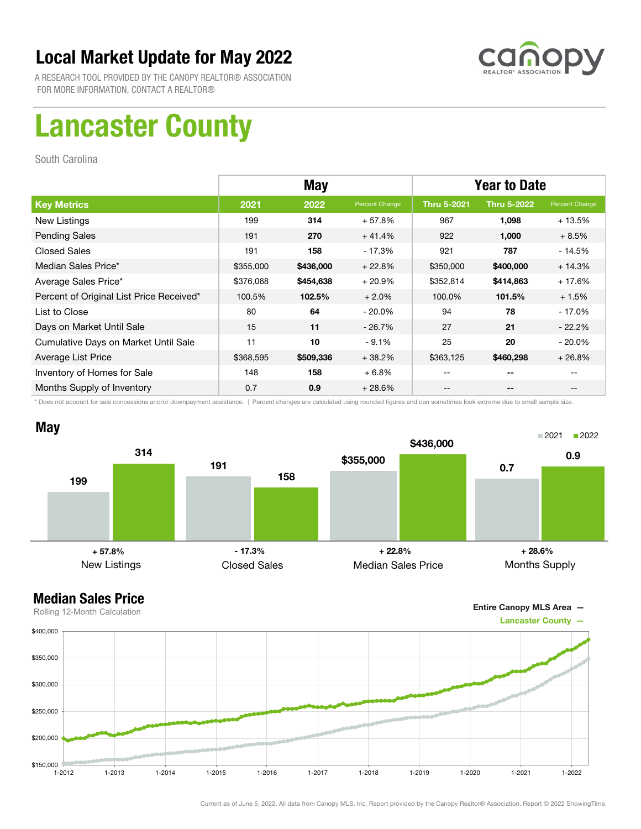

A RESEARCH TOOL PROVIDED BY THE CANOPY REALTOR® ASSOCIATION FOR MORE INFORMATION, CONTACT A REALTOR®

# Lancaster County

South Carolina

|                                          | <b>May</b> |           |                | <b>Year to Date</b> |                    |                |
|------------------------------------------|------------|-----------|----------------|---------------------|--------------------|----------------|
| <b>Key Metrics</b>                       | 2021       | 2022      | Percent Change | <b>Thru 5-2021</b>  | <b>Thru 5-2022</b> | Percent Change |
| New Listings                             | 199        | 314       | $+57.8%$       | 967                 | 1,098              | $+13.5%$       |
| <b>Pending Sales</b>                     | 191        | 270       | $+41.4%$       | 922                 | 1,000              | $+8.5%$        |
| <b>Closed Sales</b>                      | 191        | 158       | - 17.3%        | 921                 | 787                | $-14.5%$       |
| Median Sales Price*                      | \$355,000  | \$436,000 | $+22.8%$       | \$350,000           | \$400,000          | $+14.3%$       |
| Average Sales Price*                     | \$376,068  | \$454,638 | $+20.9%$       | \$352,814           | \$414,863          | $+17.6%$       |
| Percent of Original List Price Received* | 100.5%     | 102.5%    | $+2.0%$        | 100.0%              | 101.5%             | $+1.5%$        |
| List to Close                            | 80         | 64        | $-20.0\%$      | 94                  | 78                 | $-17.0\%$      |
| Days on Market Until Sale                | 15         | 11        | $-26.7\%$      | 27                  | 21                 | $-22.2\%$      |
| Cumulative Days on Market Until Sale     | 11         | 10        | $-9.1%$        | 25                  | 20                 | $-20.0\%$      |
| Average List Price                       | \$368,595  | \$509,336 | $+38.2%$       | \$363,125           | \$460,298          | $+26.8%$       |
| Inventory of Homes for Sale              | 148        | 158       | $+6.8%$        | --                  | --                 |                |
| Months Supply of Inventory               | 0.7        | 0.9       | $+28.6%$       | --                  | --                 |                |

\* Does not account for sale concessions and/or downpayment assistance. | Percent changes are calculated using rounded figures and can sometimes look extreme due to small sample size.



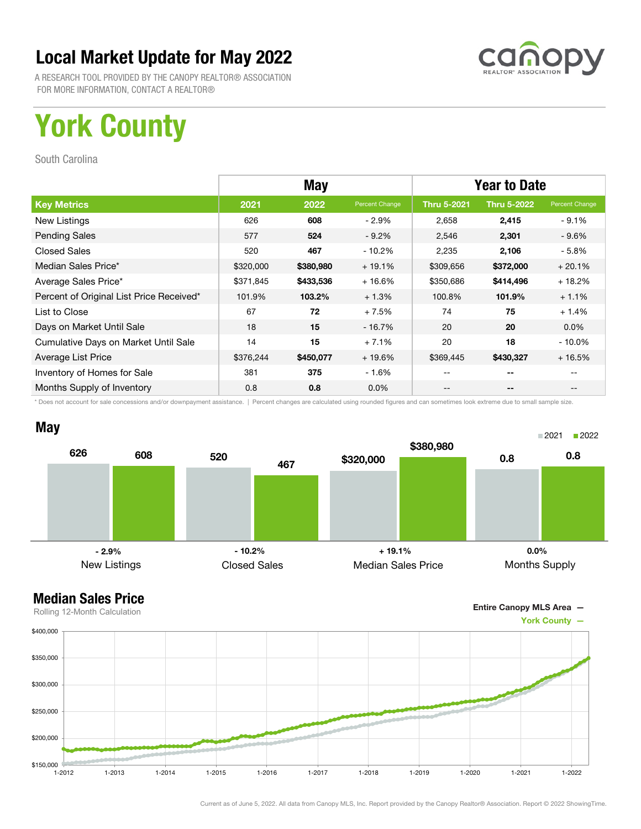

A RESEARCH TOOL PROVIDED BY THE CANOPY REALTOR® ASSOCIATION FOR MORE INFORMATION, CONTACT A REALTOR®

# York County

South Carolina

|                                          | <b>May</b> |           |                | <b>Year to Date</b> |                    |                |
|------------------------------------------|------------|-----------|----------------|---------------------|--------------------|----------------|
| <b>Key Metrics</b>                       | 2021       | 2022      | Percent Change | <b>Thru 5-2021</b>  | <b>Thru 5-2022</b> | Percent Change |
| New Listings                             | 626        | 608       | $-2.9%$        | 2,658               | 2,415              | $-9.1\%$       |
| <b>Pending Sales</b>                     | 577        | 524       | $-9.2%$        | 2,546               | 2,301              | - 9.6%         |
| <b>Closed Sales</b>                      | 520        | 467       | - 10.2%        | 2,235               | 2,106              | - 5.8%         |
| Median Sales Price*                      | \$320,000  | \$380,980 | $+19.1%$       | \$309,656           | \$372,000          | $+20.1%$       |
| Average Sales Price*                     | \$371,845  | \$433,536 | $+16.6%$       | \$350,686           | \$414,496          | $+18.2%$       |
| Percent of Original List Price Received* | 101.9%     | 103.2%    | $+1.3%$        | 100.8%              | 101.9%             | $+1.1%$        |
| List to Close                            | 67         | 72        | $+7.5%$        | 74                  | 75                 | $+1.4%$        |
| Days on Market Until Sale                | 18         | 15        | $-16.7%$       | 20                  | 20                 | $0.0\%$        |
| Cumulative Days on Market Until Sale     | 14         | 15        | $+7.1%$        | 20                  | 18                 | $-10.0\%$      |
| Average List Price                       | \$376,244  | \$450,077 | $+19.6%$       | \$369,445           | \$430,327          | $+16.5%$       |
| Inventory of Homes for Sale              | 381        | 375       | $-1.6%$        | --                  | --                 |                |
| Months Supply of Inventory               | 0.8        | 0.8       | $0.0\%$        | --                  | --                 |                |

\* Does not account for sale concessions and/or downpayment assistance. | Percent changes are calculated using rounded figures and can sometimes look extreme due to small sample size.



Entire Canopy MLS Area —

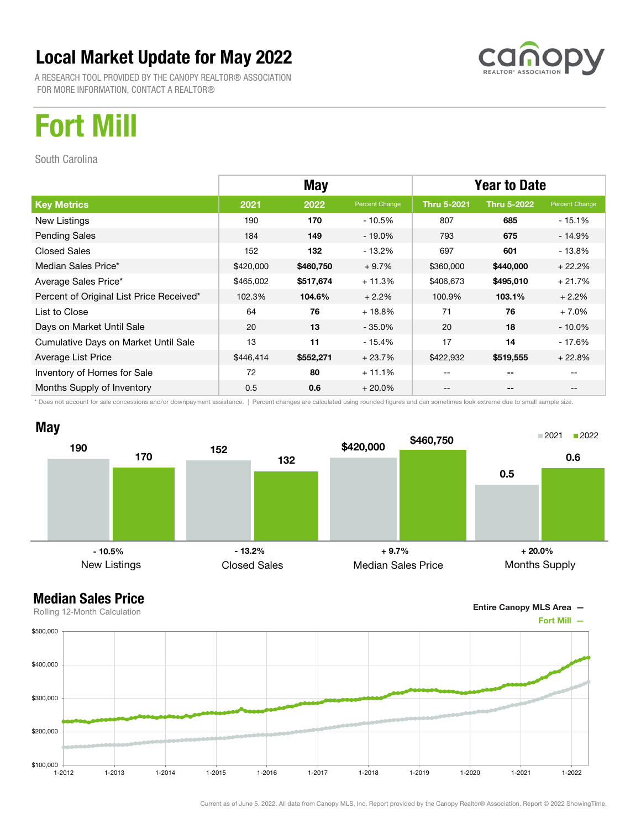

A RESEARCH TOOL PROVIDED BY THE CANOPY REALTOR® ASSOCIATION FOR MORE INFORMATION, CONTACT A REALTOR®

# Fort Mill

South Carolina

|                                          | <b>May</b> |           |                | <b>Year to Date</b> |                    |                |
|------------------------------------------|------------|-----------|----------------|---------------------|--------------------|----------------|
| <b>Key Metrics</b>                       | 2021       | 2022      | Percent Change | <b>Thru 5-2021</b>  | <b>Thru 5-2022</b> | Percent Change |
| New Listings                             | 190        | 170       | - 10.5%        | 807                 | 685                | - 15.1%        |
| <b>Pending Sales</b>                     | 184        | 149       | $-19.0\%$      | 793                 | 675                | $-14.9%$       |
| <b>Closed Sales</b>                      | 152        | 132       | - 13.2%        | 697                 | 601                | - 13.8%        |
| Median Sales Price*                      | \$420,000  | \$460,750 | $+9.7%$        | \$360,000           | \$440,000          | $+22.2%$       |
| Average Sales Price*                     | \$465,002  | \$517,674 | $+11.3%$       | \$406,673           | \$495,010          | $+21.7%$       |
| Percent of Original List Price Received* | 102.3%     | 104.6%    | $+2.2%$        | 100.9%              | 103.1%             | $+2.2%$        |
| List to Close                            | 64         | 76        | $+18.8%$       | 71                  | 76                 | $+7.0%$        |
| Days on Market Until Sale                | 20         | 13        | $-35.0\%$      | 20                  | 18                 | $-10.0\%$      |
| Cumulative Days on Market Until Sale     | 13         | 11        | $-15.4%$       | 17                  | 14                 | - 17.6%        |
| Average List Price                       | \$446,414  | \$552,271 | $+23.7%$       | \$422,932           | \$519,555          | $+22.8%$       |
| Inventory of Homes for Sale              | 72         | 80        | $+11.1%$       |                     | --                 |                |
| Months Supply of Inventory               | 0.5        | 0.6       | $+20.0\%$      | --                  | --                 |                |

\* Does not account for sale concessions and/or downpayment assistance. | Percent changes are calculated using rounded figures and can sometimes look extreme due to small sample size.



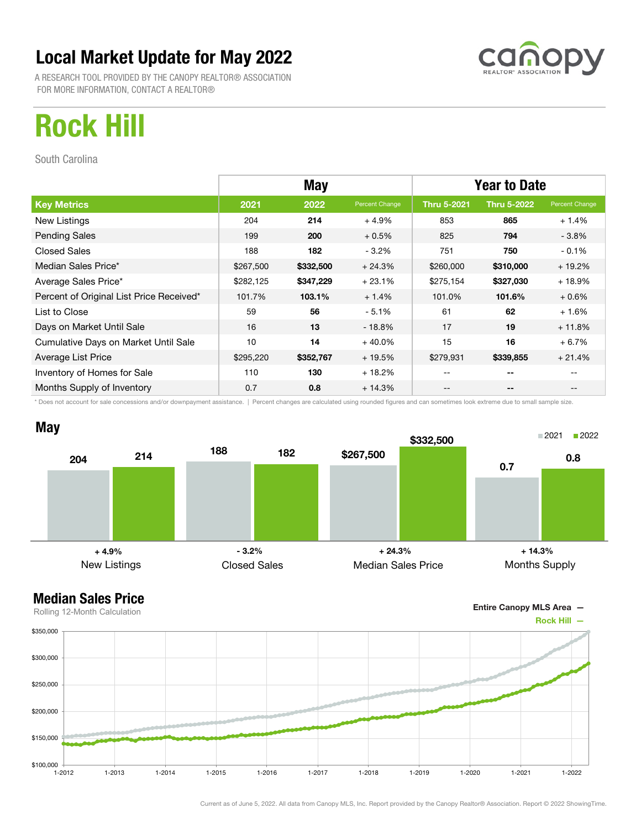

A RESEARCH TOOL PROVIDED BY THE CANOPY REALTOR® ASSOCIATION FOR MORE INFORMATION, CONTACT A REALTOR®

# Rock Hill

South Carolina

|                                          | <b>May</b> |           |                | <b>Year to Date</b> |                    |                |  |
|------------------------------------------|------------|-----------|----------------|---------------------|--------------------|----------------|--|
| <b>Key Metrics</b>                       | 2021       | 2022      | Percent Change | <b>Thru 5-2021</b>  | <b>Thru 5-2022</b> | Percent Change |  |
| New Listings                             | 204        | 214       | $+4.9%$        | 853                 | 865                | $+1.4%$        |  |
| <b>Pending Sales</b>                     | 199        | 200       | $+0.5%$        | 825                 | 794                | $-3.8\%$       |  |
| <b>Closed Sales</b>                      | 188        | 182       | $-3.2%$        | 751                 | 750                | $-0.1%$        |  |
| Median Sales Price*                      | \$267,500  | \$332,500 | $+24.3%$       | \$260,000           | \$310,000          | $+19.2%$       |  |
| Average Sales Price*                     | \$282,125  | \$347,229 | $+23.1%$       | \$275,154           | \$327,030          | $+18.9%$       |  |
| Percent of Original List Price Received* | 101.7%     | 103.1%    | $+1.4%$        | 101.0%              | 101.6%             | $+0.6%$        |  |
| List to Close                            | 59         | 56        | $-5.1%$        | 61                  | 62                 | $+1.6%$        |  |
| Days on Market Until Sale                | 16         | 13        | $-18.8%$       | 17                  | 19                 | $+11.8%$       |  |
| Cumulative Days on Market Until Sale     | 10         | 14        | $+40.0%$       | 15                  | 16                 | $+6.7%$        |  |
| Average List Price                       | \$295,220  | \$352,767 | $+19.5%$       | \$279,931           | \$339,855          | $+21.4%$       |  |
| Inventory of Homes for Sale              | 110        | 130       | $+18.2%$       | --                  | --                 |                |  |
| Months Supply of Inventory               | 0.7        | 0.8       | $+14.3%$       | --                  | --                 |                |  |

\* Does not account for sale concessions and/or downpayment assistance. | Percent changes are calculated using rounded figures and can sometimes look extreme due to small sample size.



Entire Canopy MLS Area —

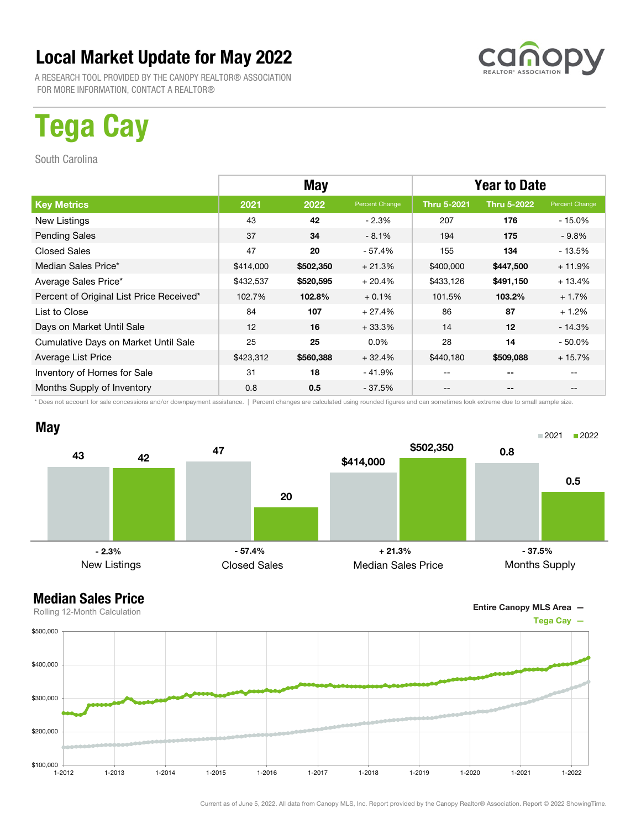

A RESEARCH TOOL PROVIDED BY THE CANOPY REALTOR® ASSOCIATION FOR MORE INFORMATION, CONTACT A REALTOR®

# Tega Cay

South Carolina

|                                          | May       |           |                | <b>Year to Date</b> |                    |                |
|------------------------------------------|-----------|-----------|----------------|---------------------|--------------------|----------------|
| <b>Key Metrics</b>                       | 2021      | 2022      | Percent Change | <b>Thru 5-2021</b>  | <b>Thru 5-2022</b> | Percent Change |
| New Listings                             | 43        | 42        | $-2.3%$        | 207                 | 176                | - 15.0%        |
| <b>Pending Sales</b>                     | 37        | 34        | $-8.1%$        | 194                 | 175                | $-9.8\%$       |
| <b>Closed Sales</b>                      | 47        | 20        | $-57.4%$       | 155                 | 134                | - 13.5%        |
| Median Sales Price*                      | \$414,000 | \$502,350 | $+21.3%$       | \$400,000           | \$447,500          | $+11.9%$       |
| Average Sales Price*                     | \$432,537 | \$520,595 | $+20.4%$       | \$433,126           | \$491,150          | $+13.4%$       |
| Percent of Original List Price Received* | 102.7%    | 102.8%    | $+0.1%$        | 101.5%              | 103.2%             | $+1.7%$        |
| List to Close                            | 84        | 107       | $+27.4%$       | 86                  | 87                 | $+1.2%$        |
| Days on Market Until Sale                | 12        | 16        | $+33.3%$       | 14                  | 12                 | $-14.3%$       |
| Cumulative Days on Market Until Sale     | 25        | 25        | $0.0\%$        | 28                  | 14                 | - 50.0%        |
| Average List Price                       | \$423,312 | \$560,388 | $+32.4%$       | \$440,180           | \$509,088          | $+15.7%$       |
| Inventory of Homes for Sale              | 31        | 18        | $-41.9%$       | --                  | --                 |                |
| Months Supply of Inventory               | 0.8       | 0.5       | - 37.5%        | --                  | --                 |                |

\* Does not account for sale concessions and/or downpayment assistance. | Percent changes are calculated using rounded figures and can sometimes look extreme due to small sample size.